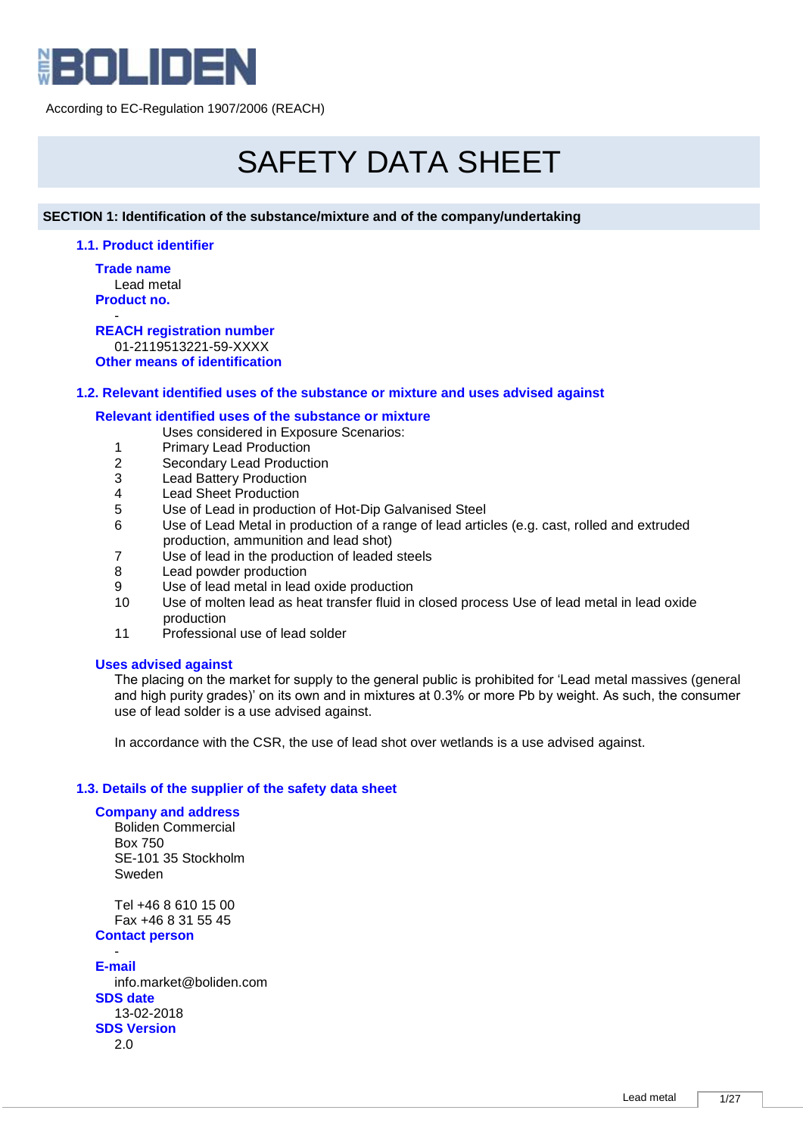

# SAFETY DATA SHEET

# **SECTION 1: Identification of the substance/mixture and of the company/undertaking**

# **1.1. Product identifier**

**Trade name** Lead metal **Product no.**

- **REACH registration number** 01-2119513221-59-XXXX **Other means of identification**

# **1.2. Relevant identified uses of the substance or mixture and uses advised against**

# **Relevant identified uses of the substance or mixture**

Uses considered in Exposure Scenarios:

- 1 Primary Lead Production
- 2 Secondary Lead Production<br>3 Lead Battery Production
- 3 Lead Battery Production<br>4 Lead Sheet Production
- 4 Lead Sheet Production<br>5 Use of Lead in producti
- Use of Lead in production of Hot-Dip Galvanised Steel
- 6 Use of Lead Metal in production of a range of lead articles (e.g. cast, rolled and extruded production, ammunition and lead shot)
- 7 Use of lead in the production of leaded steels
- 8 Lead powder production
- 9 Use of lead metal in lead oxide production
- 10 Use of molten lead as heat transfer fluid in closed process Use of lead metal in lead oxide production
- 11 Professional use of lead solder

# **Uses advised against**

The placing on the market for supply to the general public is prohibited for 'Lead metal massives (general and high purity grades)' on its own and in mixtures at 0.3% or more Pb by weight. As such, the consumer use of lead solder is a use advised against.

In accordance with the CSR, the use of lead shot over wetlands is a use advised against.

# **1.3. Details of the supplier of the safety data sheet**

#### **Company and address**

Boliden Commercial Box 750 SE-101 35 Stockholm Sweden

Tel +46 8 610 15 00 Fax +46 8 31 55 45

### **Contact person** -

**E-mail** info.market@boliden.com **SDS date** 13-02-2018 **SDS Version** 2.0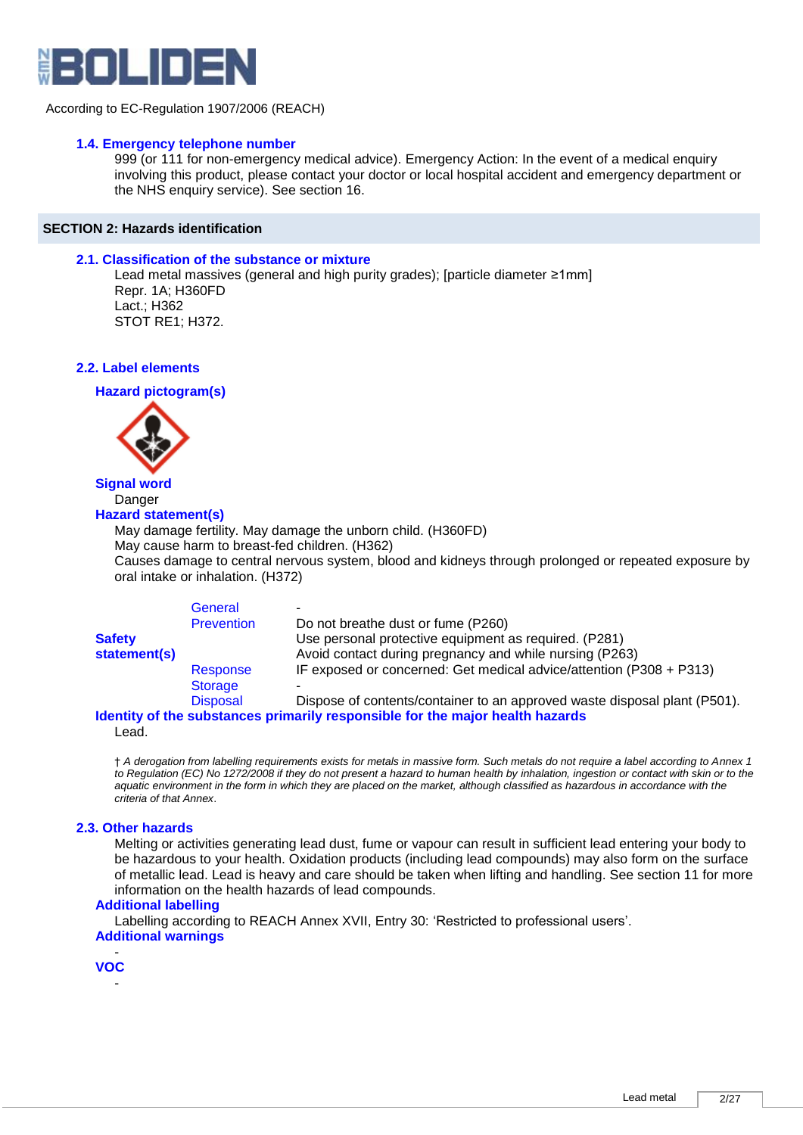

# **1.4. Emergency telephone number**

999 (or 111 for non-emergency medical advice). Emergency Action: In the event of a medical enquiry involving this product, please contact your doctor or local hospital accident and emergency department or the NHS enquiry service). See section 16.

# **SECTION 2: Hazards identification**

# **2.1. Classification of the substance or mixture**

Lead metal massives (general and high purity grades); [particle diameter ≥1mm] Repr. 1A; H360FD Lact.; H362 STOT RE1; H372.

**2.2. Label elements** 

**Hazard pictogram(s)**



# **Signal word Danger**

#### **Hazard statement(s)**

May damage fertility. May damage the unborn child. (H360FD) May cause harm to breast-fed children. (H362) Causes damage to central nervous system, blood and kidneys through prolonged or repeated exposure by oral intake or inhalation. (H372)

| <b>Safety</b><br>statement(s) | General<br><b>Prevention</b> | Do not breathe dust or fume (P260)<br>Use personal protective equipment as required. (P281)<br>Avoid contact during pregnancy and while nursing (P263)                      |
|-------------------------------|------------------------------|-----------------------------------------------------------------------------------------------------------------------------------------------------------------------------|
|                               | Response                     | IF exposed or concerned: Get medical advice/attention (P308 + P313)                                                                                                         |
|                               | Storage                      |                                                                                                                                                                             |
|                               | <b>Disposal</b>              | Dispose of contents/container to an approved waste disposal plant (P501).<br>talang bin adalah sampangang sampang mangang mangang lila. dan ilin mendapat sampang banyang m |

**Identity of the substances primarily responsible for the major health hazards** Lead.

† *A derogation from labelling requirements exists for metals in massive form. Such metals do not require a label according to Annex 1 to Regulation (EC) No 1272/2008 if they do not present a hazard to human health by inhalation, ingestion or contact with skin or to the*  aquatic environment in the form in which they are placed on the market, although classified as hazardous in accordance with the *criteria of that Annex*.

# **2.3. Other hazards**

Melting or activities generating lead dust, fume or vapour can result in sufficient lead entering your body to be hazardous to your health. Oxidation products (including lead compounds) may also form on the surface of metallic lead. Lead is heavy and care should be taken when lifting and handling. See section 11 for more information on the health hazards of lead compounds.

# **Additional labelling**

Labelling according to REACH Annex XVII, Entry 30: 'Restricted to professional users'. **Additional warnings**

- **VOC** -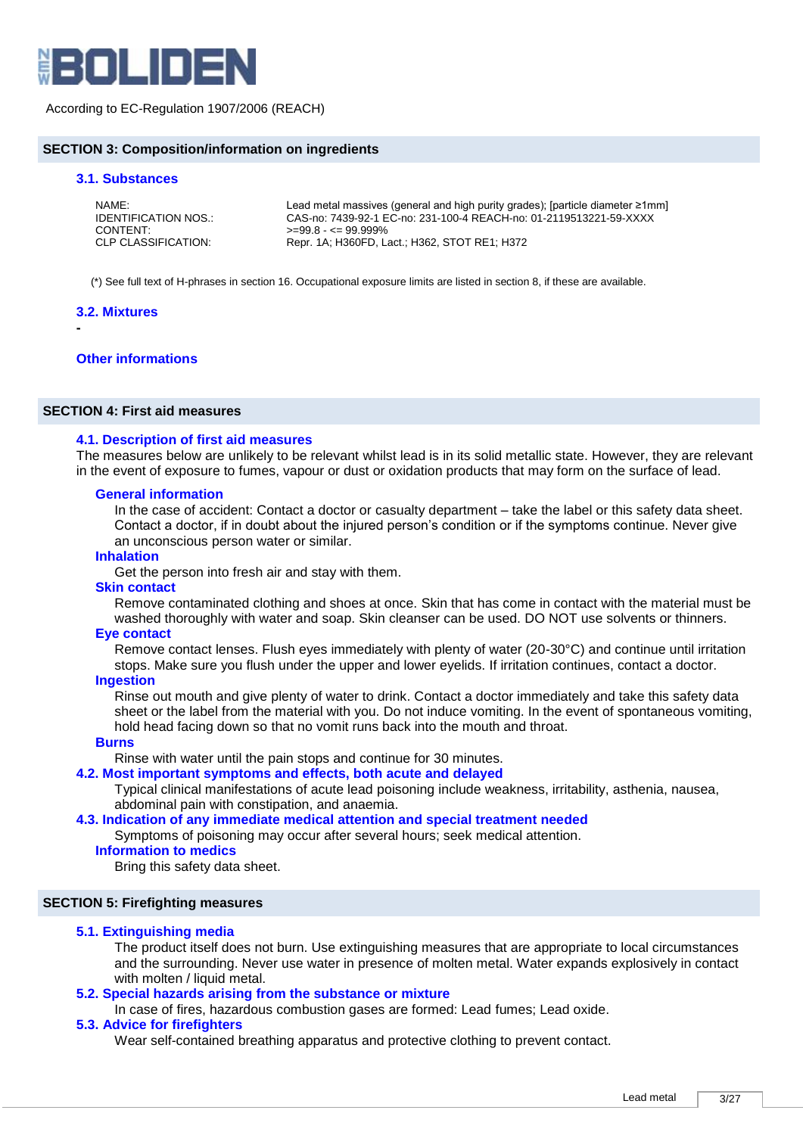

### **SECTION 3: Composition/information on ingredients**

#### **3.1. Substances**

| NAME:                | Lead metal massives (general and high purity grades); [particle diameter $\geq 1$ mm] |
|----------------------|---------------------------------------------------------------------------------------|
| IDENTIFICATION NOS.: | CAS-no: 7439-92-1 EC-no: 231-100-4 REACH-no: 01-2119513221-59-XXXX                    |
| CONTENT:             | $>=99.8 - 99.999\%$                                                                   |
| CLP CLASSIFICATION:  | Repr. 1A; H360FD, Lact.; H362, STOT RE1; H372                                         |

(\*) See full text of H-phrases in section 16. Occupational exposure limits are listed in section 8, if these are available.

#### **3.2. Mixtures**

**-**

#### **Other informations**

# **SECTION 4: First aid measures**

#### **4.1. Description of first aid measures**

The measures below are unlikely to be relevant whilst lead is in its solid metallic state. However, they are relevant in the event of exposure to fumes, vapour or dust or oxidation products that may form on the surface of lead.

#### **General information**

In the case of accident: Contact a doctor or casualty department – take the label or this safety data sheet. Contact a doctor, if in doubt about the injured person's condition or if the symptoms continue. Never give an unconscious person water or similar.

#### **Inhalation**

Get the person into fresh air and stay with them.

#### **Skin contact**

Remove contaminated clothing and shoes at once. Skin that has come in contact with the material must be washed thoroughly with water and soap. Skin cleanser can be used. DO NOT use solvents or thinners.

#### **Eye contact**

Remove contact lenses. Flush eyes immediately with plenty of water (20-30°C) and continue until irritation stops. Make sure you flush under the upper and lower eyelids. If irritation continues, contact a doctor.

#### **Ingestion**

Rinse out mouth and give plenty of water to drink. Contact a doctor immediately and take this safety data sheet or the label from the material with you. Do not induce vomiting. In the event of spontaneous vomiting, hold head facing down so that no vomit runs back into the mouth and throat.

# **Burns**

#### Rinse with water until the pain stops and continue for 30 minutes.

**4.2. Most important symptoms and effects, both acute and delayed** 

Typical clinical manifestations of acute lead poisoning include weakness, irritability, asthenia, nausea, abdominal pain with constipation, and anaemia.

#### **4.3. Indication of any immediate medical attention and special treatment needed**

Symptoms of poisoning may occur after several hours; seek medical attention.

#### **Information to medics**

Bring this safety data sheet.

#### **SECTION 5: Firefighting measures**

#### **5.1. Extinguishing media**

The product itself does not burn. Use extinguishing measures that are appropriate to local circumstances and the surrounding. Never use water in presence of molten metal. Water expands explosively in contact with molten / liquid metal.

# **5.2. Special hazards arising from the substance or mixture**

In case of fires, hazardous combustion gases are formed: Lead fumes; Lead oxide.

#### **5.3. Advice for firefighters**

Wear self-contained breathing apparatus and protective clothing to prevent contact.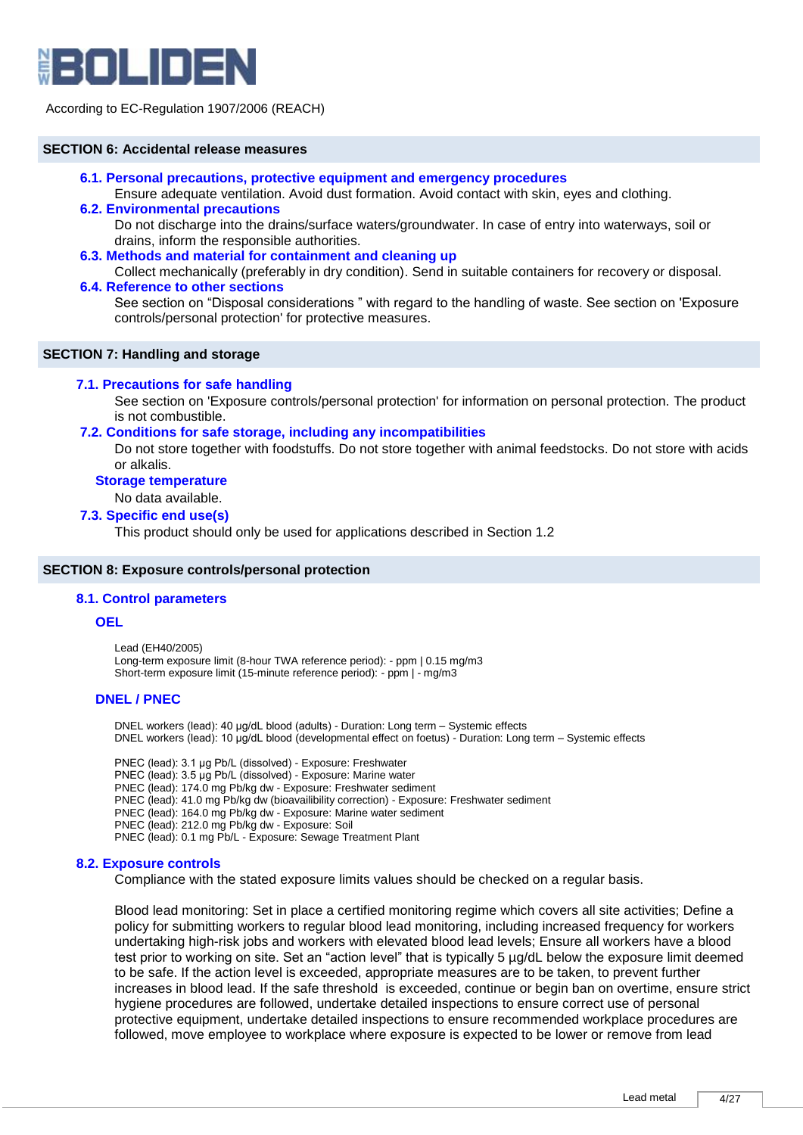

### **SECTION 6: Accidental release measures**

**6.1. Personal precautions, protective equipment and emergency procedures** 

Ensure adequate ventilation. Avoid dust formation. Avoid contact with skin, eyes and clothing.

- **6.2. Environmental precautions**  Do not discharge into the drains/surface waters/groundwater. In case of entry into waterways, soil or drains, inform the responsible authorities.
- **6.3. Methods and material for containment and cleaning up**

Collect mechanically (preferably in dry condition). Send in suitable containers for recovery or disposal. **6.4. Reference to other sections** 

See section on "Disposal considerations " with regard to the handling of waste. See section on 'Exposure controls/personal protection' for protective measures.

# **SECTION 7: Handling and storage**

### **7.1. Precautions for safe handling**

See section on 'Exposure controls/personal protection' for information on personal protection. The product is not combustible.

## **7.2. Conditions for safe storage, including any incompatibilities**

Do not store together with foodstuffs. Do not store together with animal feedstocks. Do not store with acids or alkalis.

# **Storage temperature**

No data available.

#### **7.3. Specific end use(s)**

This product should only be used for applications described in Section 1.2

#### **SECTION 8: Exposure controls/personal protection**

#### **8.1. Control parameters**

#### **OEL**

Lead (EH40/2005) Long-term exposure limit (8-hour TWA reference period): - ppm | 0.15 mg/m3 Short-term exposure limit (15-minute reference period): - ppm | - mg/m3

#### **DNEL / PNEC**

DNEL workers (lead): 40 μg/dL blood (adults) - Duration: Long term – Systemic effects DNEL workers (lead): 10 μg/dL blood (developmental effect on foetus) - Duration: Long term – Systemic effects

PNEC (lead): 3.1 μg Pb/L (dissolved) - Exposure: Freshwater PNEC (lead): 3.5 μg Pb/L (dissolved) - Exposure: Marine water PNEC (lead): 174.0 mg Pb/kg dw - Exposure: Freshwater sediment PNEC (lead): 41.0 mg Pb/kg dw (bioavailibility correction) - Exposure: Freshwater sediment PNEC (lead): 164.0 mg Pb/kg dw - Exposure: Marine water sediment PNEC (lead): 212.0 mg Pb/kg dw - Exposure: Soil PNEC (lead): 0.1 mg Pb/L - Exposure: Sewage Treatment Plant

#### **8.2. Exposure controls**

Compliance with the stated exposure limits values should be checked on a regular basis.

Blood lead monitoring: Set in place a certified monitoring regime which covers all site activities; Define a policy for submitting workers to regular blood lead monitoring, including increased frequency for workers undertaking high-risk jobs and workers with elevated blood lead levels; Ensure all workers have a blood test prior to working on site. Set an "action level" that is typically 5 µg/dL below the exposure limit deemed to be safe. If the action level is exceeded, appropriate measures are to be taken, to prevent further increases in blood lead. If the safe threshold is exceeded, continue or begin ban on overtime, ensure strict hygiene procedures are followed, undertake detailed inspections to ensure correct use of personal protective equipment, undertake detailed inspections to ensure recommended workplace procedures are followed, move employee to workplace where exposure is expected to be lower or remove from lead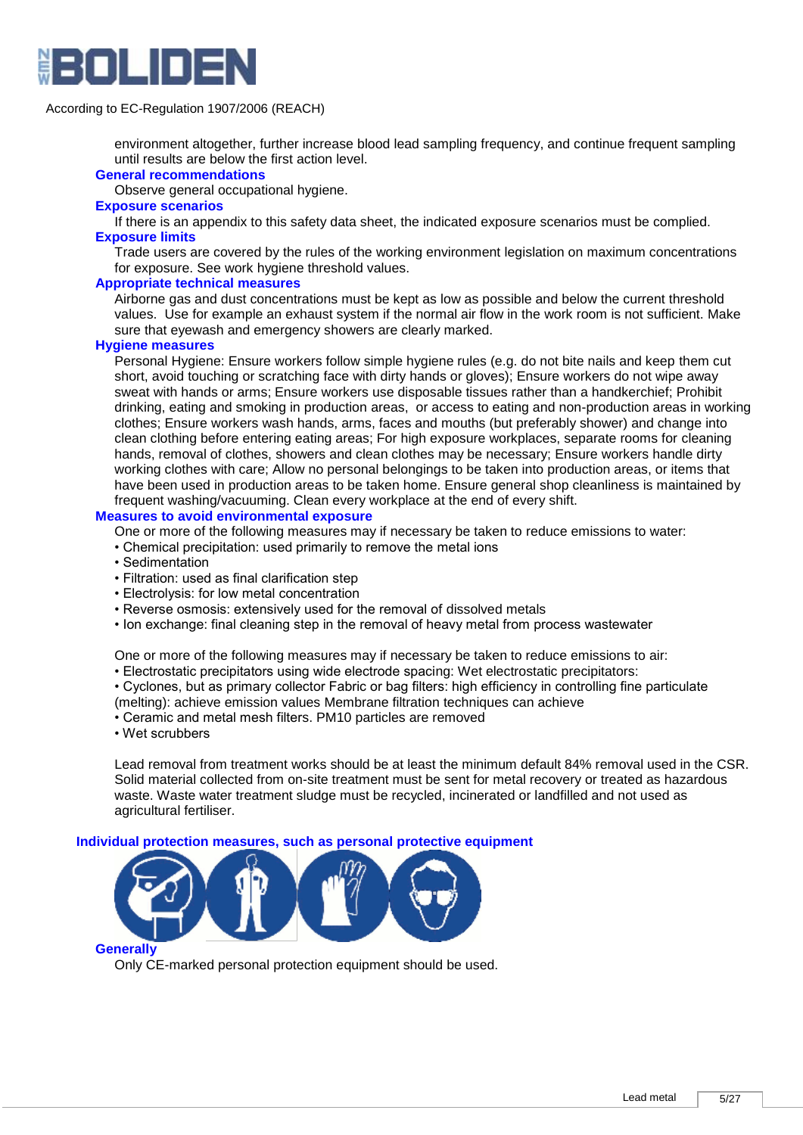

environment altogether, further increase blood lead sampling frequency, and continue frequent sampling until results are below the first action level.

#### **General recommendations**

Observe general occupational hygiene.

# **Exposure scenarios**

If there is an appendix to this safety data sheet, the indicated exposure scenarios must be complied. **Exposure limits**

Trade users are covered by the rules of the working environment legislation on maximum concentrations for exposure. See work hygiene threshold values.

#### **Appropriate technical measures**

Airborne gas and dust concentrations must be kept as low as possible and below the current threshold values. Use for example an exhaust system if the normal air flow in the work room is not sufficient. Make sure that eyewash and emergency showers are clearly marked.

# **Hygiene measures**

Personal Hygiene: Ensure workers follow simple hygiene rules (e.g. do not bite nails and keep them cut short, avoid touching or scratching face with dirty hands or gloves); Ensure workers do not wipe away sweat with hands or arms; Ensure workers use disposable tissues rather than a handkerchief; Prohibit drinking, eating and smoking in production areas, or access to eating and non-production areas in working clothes; Ensure workers wash hands, arms, faces and mouths (but preferably shower) and change into clean clothing before entering eating areas; For high exposure workplaces, separate rooms for cleaning hands, removal of clothes, showers and clean clothes may be necessary; Ensure workers handle dirty working clothes with care; Allow no personal belongings to be taken into production areas, or items that have been used in production areas to be taken home. Ensure general shop cleanliness is maintained by frequent washing/vacuuming. Clean every workplace at the end of every shift.

# **Measures to avoid environmental exposure**

One or more of the following measures may if necessary be taken to reduce emissions to water:

- Chemical precipitation: used primarily to remove the metal ions
- Sedimentation
- Filtration: used as final clarification step
- Electrolysis: for low metal concentration
- Reverse osmosis: extensively used for the removal of dissolved metals
- Ion exchange: final cleaning step in the removal of heavy metal from process wastewater

One or more of the following measures may if necessary be taken to reduce emissions to air:

- Electrostatic precipitators using wide electrode spacing: Wet electrostatic precipitators:
- Cyclones, but as primary collector Fabric or bag filters: high efficiency in controlling fine particulate
- (melting): achieve emission values Membrane filtration techniques can achieve
- Ceramic and metal mesh filters. PM10 particles are removed
- Wet scrubbers

Lead removal from treatment works should be at least the minimum default 84% removal used in the CSR. Solid material collected from on-site treatment must be sent for metal recovery or treated as hazardous waste. Waste water treatment sludge must be recycled, incinerated or landfilled and not used as agricultural fertiliser.

#### **Individual protection measures, such as personal protective equipment**



#### **Generally**

Only CE-marked personal protection equipment should be used.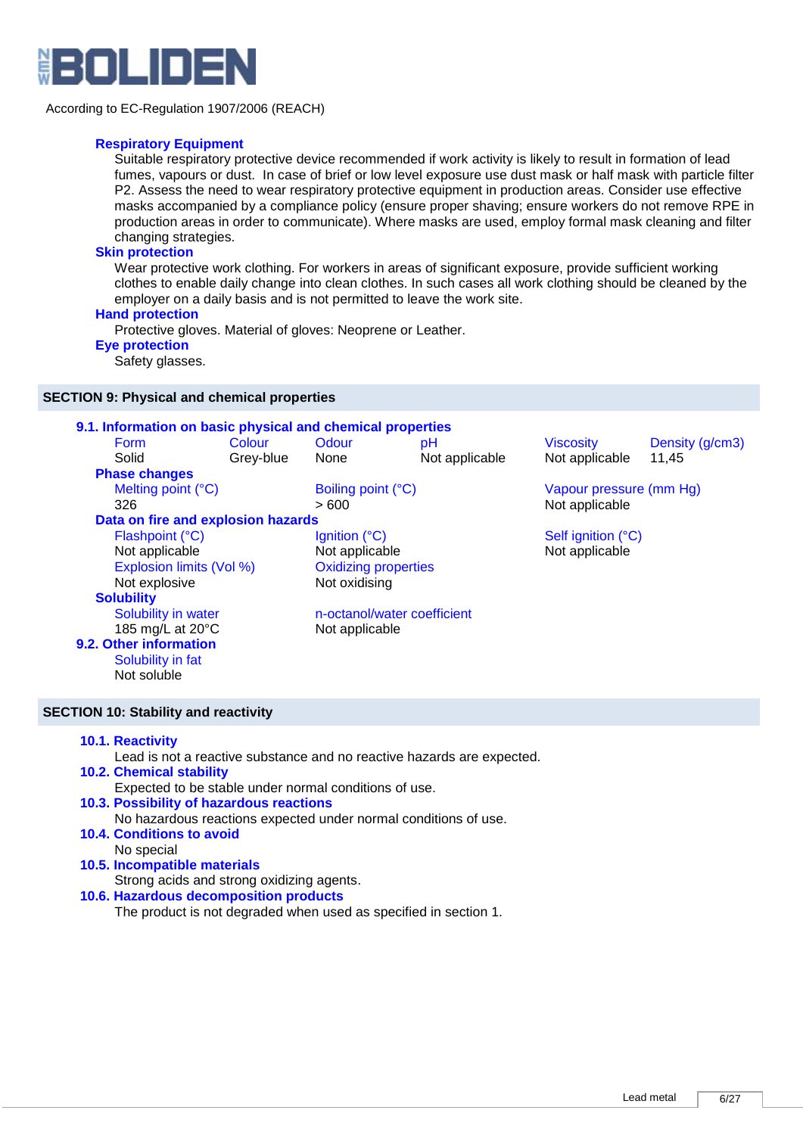

# **Respiratory Equipment**

Suitable respiratory protective device recommended if work activity is likely to result in formation of lead fumes, vapours or dust. In case of brief or low level exposure use dust mask or half mask with particle filter P2. Assess the need to wear respiratory protective equipment in production areas. Consider use effective masks accompanied by a compliance policy (ensure proper shaving; ensure workers do not remove RPE in production areas in order to communicate). Where masks are used, employ formal mask cleaning and filter changing strategies.

# **Skin protection**

Wear protective work clothing. For workers in areas of significant exposure, provide sufficient working clothes to enable daily change into clean clothes. In such cases all work clothing should be cleaned by the employer on a daily basis and is not permitted to leave the work site.

### **Hand protection**

Protective gloves. Material of gloves: Neoprene or Leather.

# **Eye protection**

Safety glasses.

## **SECTION 9: Physical and chemical properties**

| 9.1. Information on basic physical and chemical properties |           |                             |                             |                         |                 |  |
|------------------------------------------------------------|-----------|-----------------------------|-----------------------------|-------------------------|-----------------|--|
| <b>Form</b>                                                | Colour    | Odour                       | pH                          | <b>Viscosity</b>        | Density (g/cm3) |  |
| Solid                                                      | Grey-blue | None                        | Not applicable              | Not applicable          | 11,45           |  |
| <b>Phase changes</b>                                       |           |                             |                             |                         |                 |  |
| Melting point (°C)                                         |           | Boiling point (°C)          |                             | Vapour pressure (mm Hg) |                 |  |
| 326                                                        |           | >600                        |                             | Not applicable          |                 |  |
| Data on fire and explosion hazards                         |           |                             |                             |                         |                 |  |
| Flashpoint (°C)                                            |           | Ignition (°C)               |                             | Self ignition (°C)      |                 |  |
| Not applicable                                             |           | Not applicable              |                             | Not applicable          |                 |  |
| Explosion limits (Vol %)                                   |           | <b>Oxidizing properties</b> |                             |                         |                 |  |
| Not explosive                                              |           | Not oxidising               |                             |                         |                 |  |
| <b>Solubility</b>                                          |           |                             |                             |                         |                 |  |
| Solubility in water                                        |           |                             | n-octanol/water coefficient |                         |                 |  |
| 185 mg/L at $20^{\circ}$ C                                 |           | Not applicable              |                             |                         |                 |  |
| 9.2. Other information                                     |           |                             |                             |                         |                 |  |
| Solubility in fat                                          |           |                             |                             |                         |                 |  |
| Not soluble                                                |           |                             |                             |                         |                 |  |

# **SECTION 10: Stability and reactivity**

# **10.1. Reactivity**

Lead is not a reactive substance and no reactive hazards are expected.

#### **10.2. Chemical stability**

Expected to be stable under normal conditions of use.

- **10.3. Possibility of hazardous reactions**  No hazardous reactions expected under normal conditions of use. **10.4. Conditions to avoid**
- No special
- **10.5. Incompatible materials**

Strong acids and strong oxidizing agents.

# **10.6. Hazardous decomposition products**

The product is not degraded when used as specified in section 1.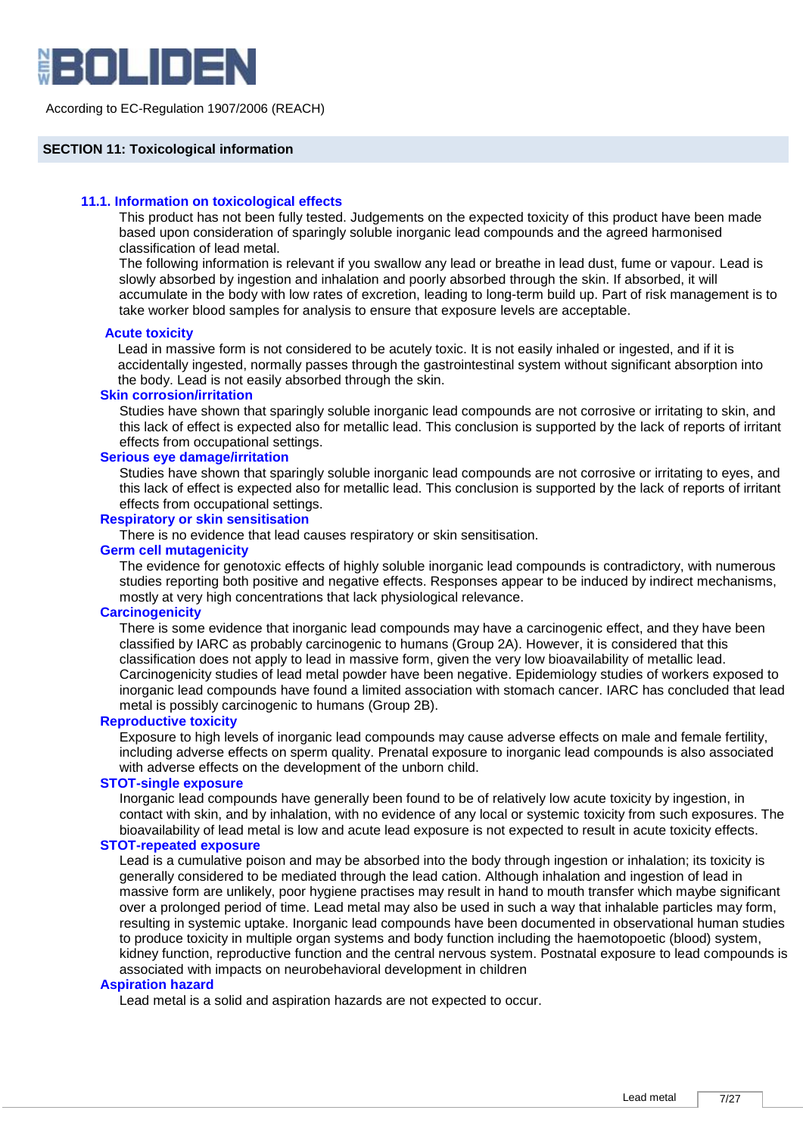

### **SECTION 11: Toxicological information**

# **11.1. Information on toxicological effects**

This product has not been fully tested. Judgements on the expected toxicity of this product have been made based upon consideration of sparingly soluble inorganic lead compounds and the agreed harmonised classification of lead metal.

The following information is relevant if you swallow any lead or breathe in lead dust, fume or vapour. Lead is slowly absorbed by ingestion and inhalation and poorly absorbed through the skin. If absorbed, it will accumulate in the body with low rates of excretion, leading to long-term build up. Part of risk management is to take worker blood samples for analysis to ensure that exposure levels are acceptable.

#### **Acute toxicity**

Lead in massive form is not considered to be acutely toxic. It is not easily inhaled or ingested, and if it is accidentally ingested, normally passes through the gastrointestinal system without significant absorption into the body. Lead is not easily absorbed through the skin.

### **Skin corrosion/irritation**

Studies have shown that sparingly soluble inorganic lead compounds are not corrosive or irritating to skin, and this lack of effect is expected also for metallic lead. This conclusion is supported by the lack of reports of irritant effects from occupational settings.

#### **Serious eye damage/irritation**

Studies have shown that sparingly soluble inorganic lead compounds are not corrosive or irritating to eyes, and this lack of effect is expected also for metallic lead. This conclusion is supported by the lack of reports of irritant effects from occupational settings.

# **Respiratory or skin sensitisation**

There is no evidence that lead causes respiratory or skin sensitisation.

# **Germ cell mutagenicity**

The evidence for genotoxic effects of highly soluble inorganic lead compounds is contradictory, with numerous studies reporting both positive and negative effects. Responses appear to be induced by indirect mechanisms, mostly at very high concentrations that lack physiological relevance.

# **Carcinogenicity**

There is some evidence that inorganic lead compounds may have a carcinogenic effect, and they have been classified by IARC as probably carcinogenic to humans (Group 2A). However, it is considered that this classification does not apply to lead in massive form, given the very low bioavailability of metallic lead. Carcinogenicity studies of lead metal powder have been negative. Epidemiology studies of workers exposed to inorganic lead compounds have found a limited association with stomach cancer. IARC has concluded that lead metal is possibly carcinogenic to humans (Group 2B).

#### **Reproductive toxicity**

Exposure to high levels of inorganic lead compounds may cause adverse effects on male and female fertility, including adverse effects on sperm quality. Prenatal exposure to inorganic lead compounds is also associated with adverse effects on the development of the unborn child.

#### **STOT-single exposure**

Inorganic lead compounds have generally been found to be of relatively low acute toxicity by ingestion, in contact with skin, and by inhalation, with no evidence of any local or systemic toxicity from such exposures. The bioavailability of lead metal is low and acute lead exposure is not expected to result in acute toxicity effects.

#### **STOT-repeated exposure**

Lead is a cumulative poison and may be absorbed into the body through ingestion or inhalation; its toxicity is generally considered to be mediated through the lead cation. Although inhalation and ingestion of lead in massive form are unlikely, poor hygiene practises may result in hand to mouth transfer which maybe significant over a prolonged period of time. Lead metal may also be used in such a way that inhalable particles may form, resulting in systemic uptake. Inorganic lead compounds have been documented in observational human studies to produce toxicity in multiple organ systems and body function including the haemotopoetic (blood) system, kidney function, reproductive function and the central nervous system. Postnatal exposure to lead compounds is associated with impacts on neurobehavioral development in children

# **Aspiration hazard**

Lead metal is a solid and aspiration hazards are not expected to occur.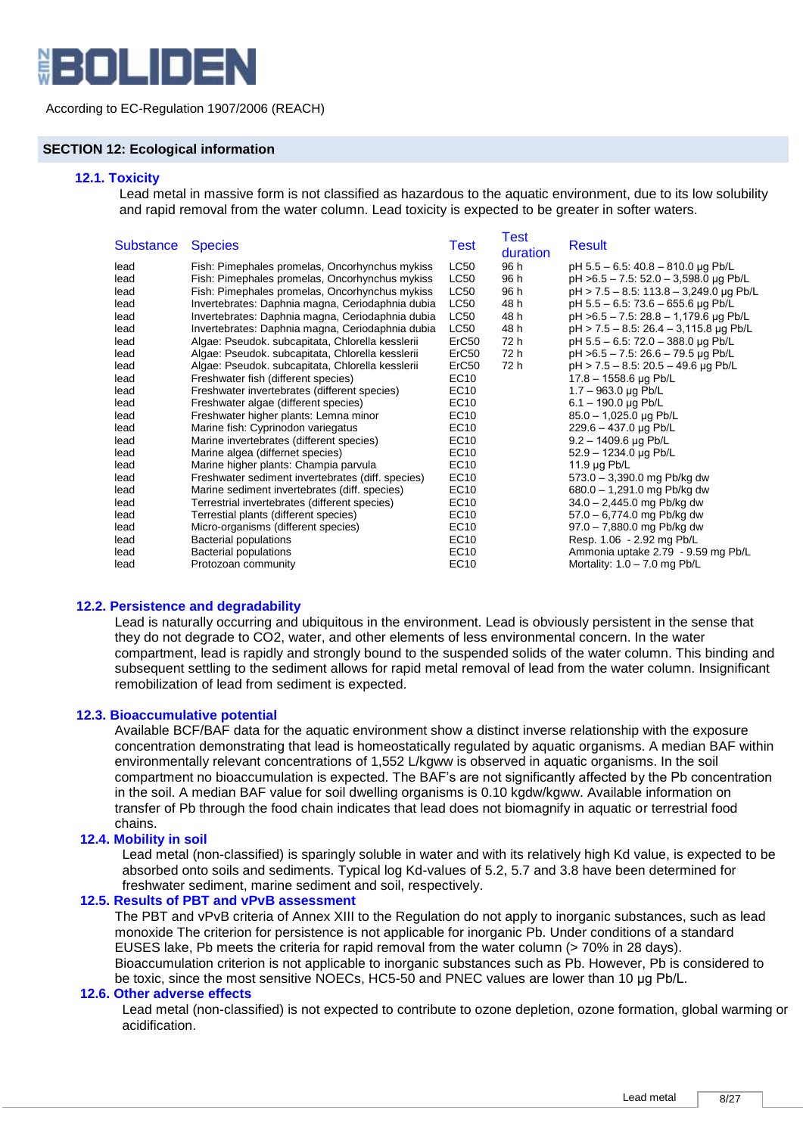

# **SECTION 12: Ecological information**

#### **12.1. Toxicity**

Lead metal in massive form is not classified as hazardous to the aquatic environment, due to its low solubility and rapid removal from the water column. Lead toxicity is expected to be greater in softer waters.

| <b>Species</b>                                    | Test                                                                                                                           | Test<br>duration                                                                     | <b>Result</b>                           |
|---------------------------------------------------|--------------------------------------------------------------------------------------------------------------------------------|--------------------------------------------------------------------------------------|-----------------------------------------|
| Fish: Pimephales promelas, Oncorhynchus mykiss    | LC50                                                                                                                           | 96 h                                                                                 | pH $5.5 - 6.5$ : 40.8 - 810.0 µg Pb/L   |
| Fish: Pimephales promelas, Oncorhynchus mykiss    | <b>LC50</b>                                                                                                                    | 96 h                                                                                 | pH >6.5 - 7.5: 52.0 - 3,598.0 µg Pb/L   |
| Fish: Pimephales promelas, Oncorhynchus mykiss    | <b>LC50</b>                                                                                                                    | 96 h                                                                                 | pH > 7.5 - 8.5: 113.8 - 3,249.0 µg Pb/L |
| Invertebrates: Daphnia magna, Ceriodaphnia dubia  | <b>LC50</b>                                                                                                                    | 48 h                                                                                 | pH 5.5 - 6.5: 73.6 - 655.6 µg Pb/L      |
| Invertebrates: Daphnia magna, Ceriodaphnia dubia  | LC50                                                                                                                           | 48 h                                                                                 | pH >6.5 - 7.5: 28.8 - 1,179.6 µg Pb/L   |
| Invertebrates: Daphnia magna, Ceriodaphnia dubia  | LC50                                                                                                                           | 48 h                                                                                 | pH > 7.5 - 8.5: 26.4 - 3.115.8 µg Pb/L  |
| Algae: Pseudok. subcapitata, Chlorella kesslerii  | ErC <sub>50</sub>                                                                                                              | 72 h                                                                                 | pH 5.5 - 6.5: 72.0 - 388.0 µg Pb/L      |
| Algae: Pseudok. subcapitata, Chlorella kesslerii  | ErC <sub>50</sub>                                                                                                              | 72 h                                                                                 | pH >6.5 - 7.5: 26.6 - 79.5 µg Pb/L      |
| Algae: Pseudok. subcapitata, Chlorella kesslerii  | ErC <sub>50</sub>                                                                                                              | 72 h                                                                                 | pH > 7.5 - 8.5: 20.5 - 49.6 µg Pb/L     |
| Freshwater fish (different species)               |                                                                                                                                |                                                                                      | $17.8 - 1558.6$ µg Pb/L                 |
|                                                   |                                                                                                                                |                                                                                      | $1.7 - 963.0 \,\mu g$ Pb/L              |
| Freshwater algae (different species)              |                                                                                                                                |                                                                                      | $6.1 - 190.0 \,\mu g$ Pb/L              |
| Freshwater higher plants: Lemna minor             |                                                                                                                                |                                                                                      | 85.0 - 1,025.0 µg Pb/L                  |
|                                                   |                                                                                                                                |                                                                                      | $229.6 - 437.0 \,\mu g \,\text{Pb/L}$   |
|                                                   |                                                                                                                                |                                                                                      | $9.2 - 1409.6$ µg Pb/L                  |
| Marine algea (differnet species)                  |                                                                                                                                |                                                                                      | 52.9 - 1234.0 µg Pb/L                   |
| Marine higher plants: Champia parvula             | EC10                                                                                                                           |                                                                                      | $11.9 \mu q$ Pb/L                       |
| Freshwater sediment invertebrates (diff. species) | EC10                                                                                                                           |                                                                                      | 573.0 - 3,390.0 mg Pb/kg dw             |
| Marine sediment invertebrates (diff. species)     |                                                                                                                                |                                                                                      | 680.0 - 1,291.0 mg Pb/kg dw             |
| Terrestrial invertebrates (different species)     |                                                                                                                                |                                                                                      | 34.0 - 2,445.0 mg Pb/kg dw              |
| Terrestial plants (different species)             | EC <sub>10</sub>                                                                                                               |                                                                                      | $57.0 - 6,774.0$ mg Pb/kg dw            |
| Micro-organisms (different species)               |                                                                                                                                |                                                                                      | $97.0 - 7,880.0$ mg Pb/kg dw            |
| <b>Bacterial populations</b>                      |                                                                                                                                |                                                                                      | Resp. 1.06 - 2.92 mg Pb/L               |
| <b>Bacterial populations</b>                      | EC10                                                                                                                           |                                                                                      | Ammonia uptake 2.79 - 9.59 mg Pb/L      |
| Protozoan community                               | EC10                                                                                                                           |                                                                                      | Mortality: $1.0 - 7.0$ mg Pb/L          |
|                                                   | Freshwater invertebrates (different species)<br>Marine fish: Cyprinodon variegatus<br>Marine invertebrates (different species) | EC10<br>EC10<br>EC10<br>EC10<br>EC10<br>EC10<br>EC10<br>EC10<br>EC10<br>EC10<br>EC10 |                                         |

# **12.2. Persistence and degradability**

Lead is naturally occurring and ubiquitous in the environment. Lead is obviously persistent in the sense that they do not degrade to CO2, water, and other elements of less environmental concern. In the water compartment, lead is rapidly and strongly bound to the suspended solids of the water column. This binding and subsequent settling to the sediment allows for rapid metal removal of lead from the water column. Insignificant remobilization of lead from sediment is expected.

#### **12.3. Bioaccumulative potential**

Available BCF/BAF data for the aquatic environment show a distinct inverse relationship with the exposure concentration demonstrating that lead is homeostatically regulated by aquatic organisms. A median BAF within environmentally relevant concentrations of 1,552 L/kgww is observed in aquatic organisms. In the soil compartment no bioaccumulation is expected. The BAF's are not significantly affected by the Pb concentration in the soil. A median BAF value for soil dwelling organisms is 0.10 kgdw/kgww. Available information on transfer of Pb through the food chain indicates that lead does not biomagnify in aquatic or terrestrial food chains.

# **12.4. Mobility in soil**

Lead metal (non-classified) is sparingly soluble in water and with its relatively high Kd value, is expected to be absorbed onto soils and sediments. Typical log Kd-values of 5.2, 5.7 and 3.8 have been determined for freshwater sediment, marine sediment and soil, respectively.

# **12.5. Results of PBT and vPvB assessment**

The PBT and vPvB criteria of Annex XIII to the Regulation do not apply to inorganic substances, such as lead monoxide The criterion for persistence is not applicable for inorganic Pb. Under conditions of a standard EUSES lake, Pb meets the criteria for rapid removal from the water column (> 70% in 28 days). Bioaccumulation criterion is not applicable to inorganic substances such as Pb. However, Pb is considered to

be toxic, since the most sensitive NOECs, HC5-50 and PNEC values are lower than 10 μg Pb/L.

# **12.6. Other adverse effects**

Lead metal (non-classified) is not expected to contribute to ozone depletion, ozone formation, global warming or acidification.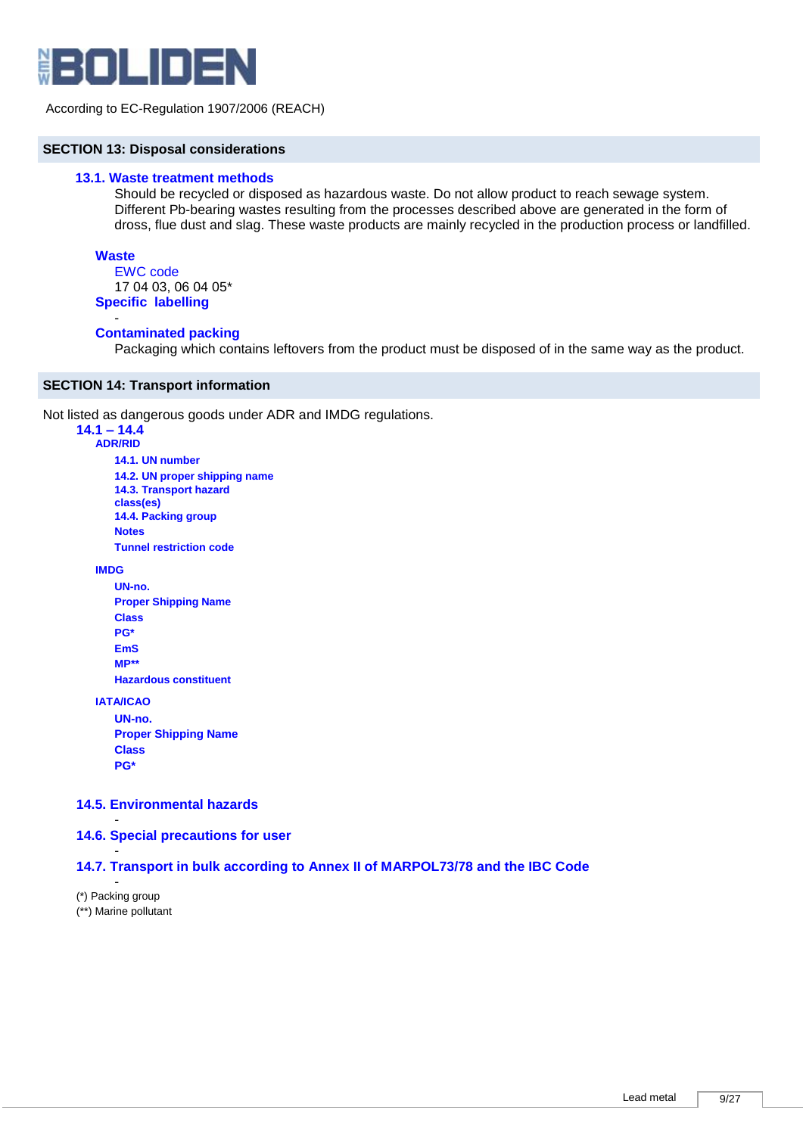

# **SECTION 13: Disposal considerations**

## **13.1. Waste treatment methods**

Should be recycled or disposed as hazardous waste. Do not allow product to reach sewage system. Different Pb-bearing wastes resulting from the processes described above are generated in the form of dross, flue dust and slag. These waste products are mainly recycled in the production process or landfilled.

#### **Waste**

-

EWC code 17 04 03, 06 04 05\* **Specific labelling**

### **Contaminated packing**

Packaging which contains leftovers from the product must be disposed of in the same way as the product.

### **SECTION 14: Transport information**

Not listed as dangerous goods under ADR and IMDG regulations.

#### **14.1 – 14.4 ADR/RID**

**14.1. UN number 14.2. UN proper shipping name 14.3. Transport hazard class(es) 14.4. Packing group Notes Tunnel restriction code**

**IMDG**

**UN-no. Proper Shipping Name Class PG\* EmS MP\*\* Hazardous constituent**

**IATA/ICAO**

**UN-no. Proper Shipping Name Class PG\***

# **14.5. Environmental hazards**

**14.6. Special precautions for user** 

# **14.7. Transport in bulk according to Annex II of MARPOL73/78 and the IBC Code**

- (\*) Packing group (\*\*) Marine pollutant

-

-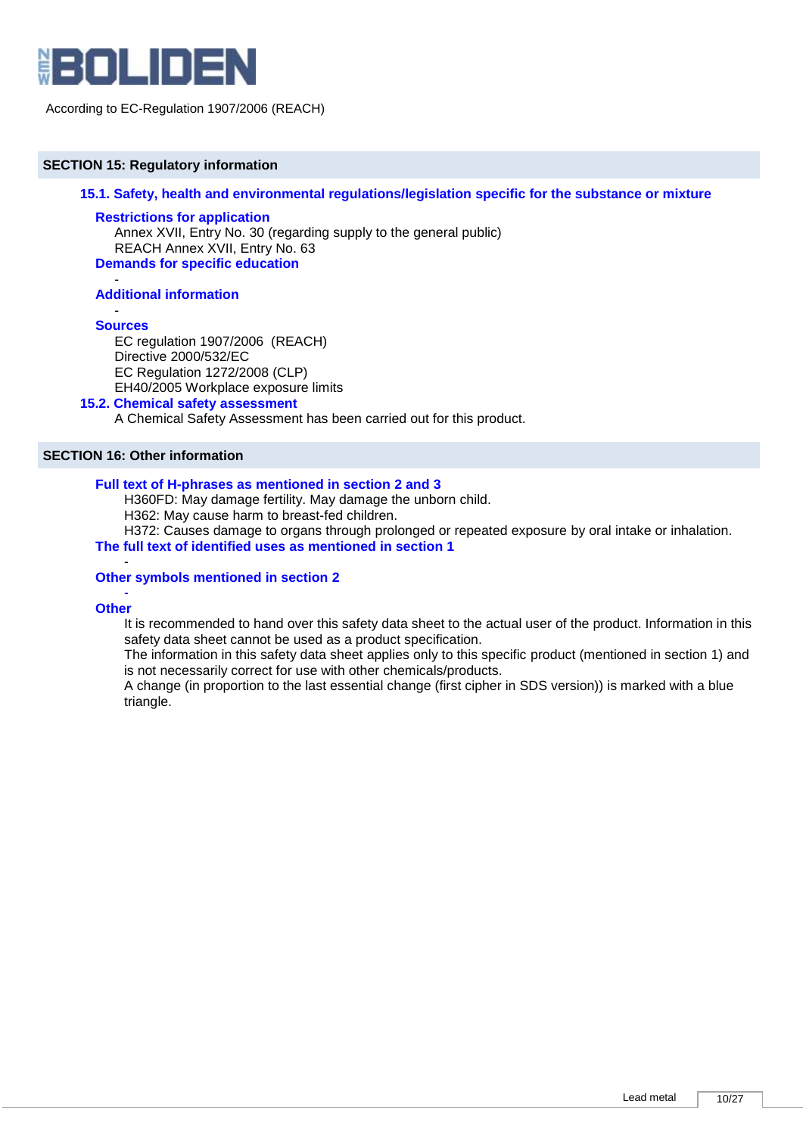

# **SECTION 15: Regulatory information**

**15.1. Safety, health and environmental regulations/legislation specific for the substance or mixture** 

# **Restrictions for application**

Annex XVII, Entry No. 30 (regarding supply to the general public) REACH Annex XVII, Entry No. 63 **Demands for specific education**

#### - **Additional information**

#### - **Sources**

EC regulation 1907/2006 (REACH) Directive 2000/532/EC EC Regulation 1272/2008 (CLP) EH40/2005 Workplace exposure limits

## **15.2. Chemical safety assessment**

A Chemical Safety Assessment has been carried out for this product.

# **SECTION 16: Other information**

# **Full text of H-phrases as mentioned in section 2 and 3**

H360FD: May damage fertility. May damage the unborn child.

H362: May cause harm to breast-fed children.

H372: Causes damage to organs through prolonged or repeated exposure by oral intake or inhalation.

**The full text of identified uses as mentioned in section 1**

#### - **Other symbols mentioned in section 2**

#### - **Other**

It is recommended to hand over this safety data sheet to the actual user of the product. Information in this safety data sheet cannot be used as a product specification.

The information in this safety data sheet applies only to this specific product (mentioned in section 1) and is not necessarily correct for use with other chemicals/products.

A change (in proportion to the last essential change (first cipher in SDS version)) is marked with a blue triangle.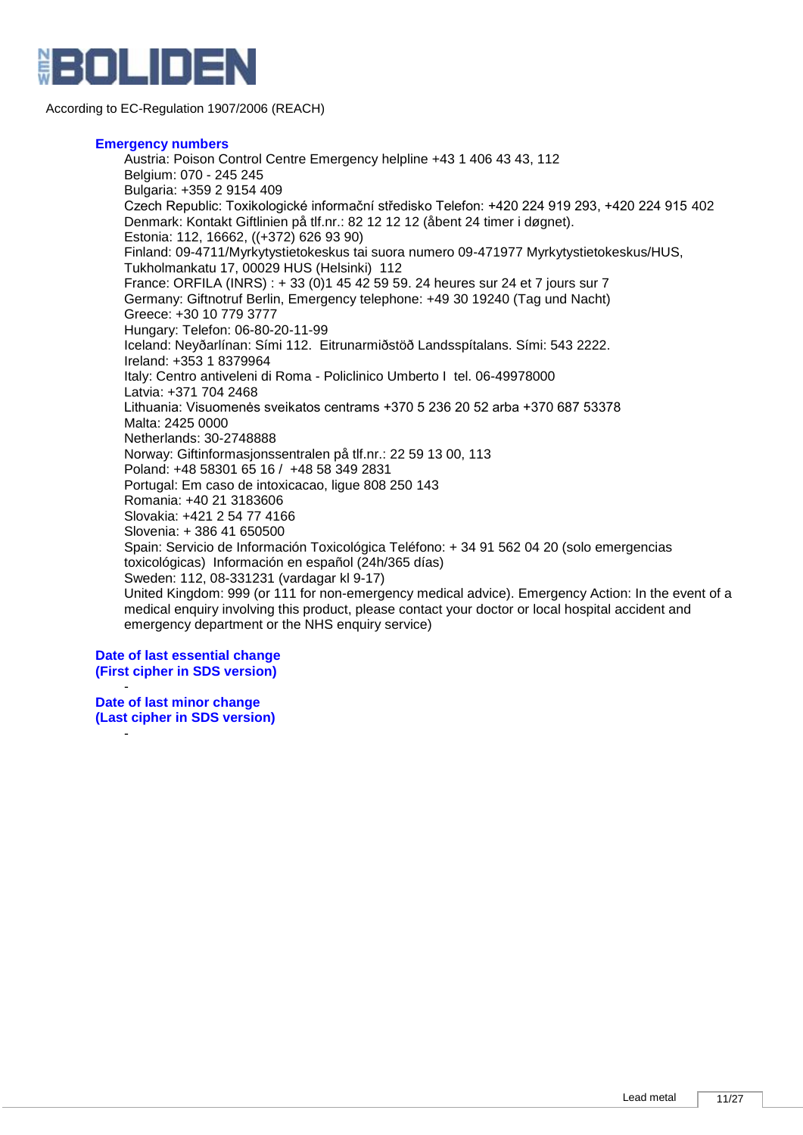

### **Emergency numbers**

Austria: Poison Control Centre Emergency helpline +43 1 406 43 43, 112 Belgium: 070 - 245 245 Bulgaria: +359 2 9154 409 Czech Republic: Toxikologické informační středisko Telefon: +420 224 919 293, +420 224 915 402 Denmark: Kontakt Giftlinien på tlf.nr.: 82 12 12 12 (åbent 24 timer i døgnet). Estonia: 112, 16662, ((+372) 626 93 90) Finland: 09-4711/Myrkytystietokeskus tai suora numero 09-471977 Myrkytystietokeskus/HUS, Tukholmankatu 17, 00029 HUS (Helsinki) 112 France: ORFILA (INRS) : + 33 (0)1 45 42 59 59. 24 heures sur 24 et 7 jours sur 7 Germany: Giftnotruf Berlin, Emergency telephone: +49 30 19240 (Tag und Nacht) Greece: +30 10 779 3777 Hungary: Telefon: 06-80-20-11-99 Iceland: Neyðarlínan: Sími 112. Eitrunarmiðstöð Landsspítalans. Sími: 543 2222. Ireland: +353 1 8379964 Italy: Centro antiveleni di Roma - Policlinico Umberto I tel. 06-49978000 Latvia: +371 704 2468 Lithuania: Visuomenės sveikatos centrams +370 5 236 20 52 arba +370 687 53378 Malta: 2425 0000 Netherlands: 30-2748888 Norway: Giftinformasjonssentralen på tlf.nr.: 22 59 13 00, 113 Poland: +48 58301 65 16 / +48 58 349 2831 Portugal: Em caso de intoxicacao, ligue 808 250 143 Romania: +40 21 3183606 Slovakia: +421 2 54 77 4166 Slovenia: + 386 41 650500 Spain: Servicio de Información Toxicológica Teléfono: + 34 91 562 04 20 (solo emergencias toxicológicas) Información en español (24h/365 días) Sweden: 112, 08-331231 (vardagar kl 9-17) United Kingdom: 999 (or 111 for non-emergency medical advice). Emergency Action: In the event of a medical enquiry involving this product, please contact your doctor or local hospital accident and emergency department or the NHS enquiry service)

**Date of last essential change (First cipher in SDS version)**

- **Date of last minor change (Last cipher in SDS version)**

-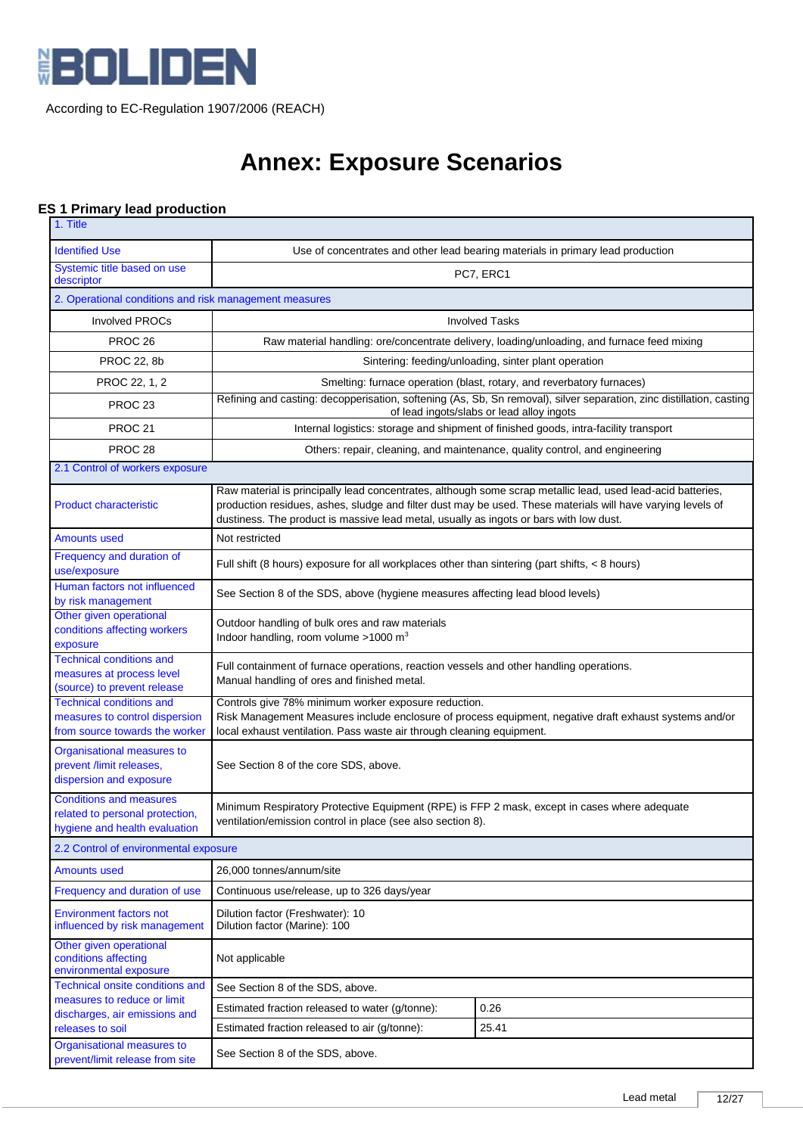

# **Annex: Exposure Scenarios**

# **ES 1 Primary lead production**

| 1. Title                                                                                            |                                                                                                                                                                                                                                                                                                                      |                                                                                                                                                                   |  |  |
|-----------------------------------------------------------------------------------------------------|----------------------------------------------------------------------------------------------------------------------------------------------------------------------------------------------------------------------------------------------------------------------------------------------------------------------|-------------------------------------------------------------------------------------------------------------------------------------------------------------------|--|--|
| <b>Identified Use</b>                                                                               | Use of concentrates and other lead bearing materials in primary lead production                                                                                                                                                                                                                                      |                                                                                                                                                                   |  |  |
| Systemic title based on use<br>descriptor                                                           | PC7, ERC1                                                                                                                                                                                                                                                                                                            |                                                                                                                                                                   |  |  |
| 2. Operational conditions and risk management measures                                              |                                                                                                                                                                                                                                                                                                                      |                                                                                                                                                                   |  |  |
| <b>Involved PROCs</b>                                                                               |                                                                                                                                                                                                                                                                                                                      | <b>Involved Tasks</b>                                                                                                                                             |  |  |
| PROC <sub>26</sub>                                                                                  |                                                                                                                                                                                                                                                                                                                      | Raw material handling: ore/concentrate delivery, loading/unloading, and furnace feed mixing                                                                       |  |  |
| <b>PROC 22, 8b</b>                                                                                  |                                                                                                                                                                                                                                                                                                                      | Sintering: feeding/unloading, sinter plant operation                                                                                                              |  |  |
| PROC 22, 1, 2                                                                                       |                                                                                                                                                                                                                                                                                                                      | Smelting: furnace operation (blast, rotary, and reverbatory furnaces)                                                                                             |  |  |
| PROC <sub>23</sub>                                                                                  |                                                                                                                                                                                                                                                                                                                      | Refining and casting: decopperisation, softening (As, Sb, Sn removal), silver separation, zinc distillation, casting<br>of lead ingots/slabs or lead alloy ingots |  |  |
| PROC <sub>21</sub>                                                                                  |                                                                                                                                                                                                                                                                                                                      | Internal logistics: storage and shipment of finished goods, intra-facility transport                                                                              |  |  |
| PROC <sub>28</sub>                                                                                  |                                                                                                                                                                                                                                                                                                                      | Others: repair, cleaning, and maintenance, quality control, and engineering                                                                                       |  |  |
| 2.1 Control of workers exposure                                                                     |                                                                                                                                                                                                                                                                                                                      |                                                                                                                                                                   |  |  |
| <b>Product characteristic</b>                                                                       | Raw material is principally lead concentrates, although some scrap metallic lead, used lead-acid batteries,<br>production residues, ashes, sludge and filter dust may be used. These materials will have varying levels of<br>dustiness. The product is massive lead metal, usually as ingots or bars with low dust. |                                                                                                                                                                   |  |  |
| <b>Amounts used</b>                                                                                 | Not restricted                                                                                                                                                                                                                                                                                                       |                                                                                                                                                                   |  |  |
| Frequency and duration of<br>use/exposure                                                           | Full shift (8 hours) exposure for all workplaces other than sintering (part shifts, $\lt 8$ hours)                                                                                                                                                                                                                   |                                                                                                                                                                   |  |  |
| Human factors not influenced<br>by risk management                                                  | See Section 8 of the SDS, above (hygiene measures affecting lead blood levels)                                                                                                                                                                                                                                       |                                                                                                                                                                   |  |  |
| Other given operational<br>conditions affecting workers<br>exposure                                 | Outdoor handling of bulk ores and raw materials<br>Indoor handling, room volume >1000 m <sup>3</sup>                                                                                                                                                                                                                 |                                                                                                                                                                   |  |  |
| <b>Technical conditions and</b><br>measures at process level<br>(source) to prevent release         | Full containment of furnace operations, reaction vessels and other handling operations.<br>Manual handling of ores and finished metal.                                                                                                                                                                               |                                                                                                                                                                   |  |  |
| <b>Technical conditions and</b><br>measures to control dispersion<br>from source towards the worker | Controls give 78% minimum worker exposure reduction.<br>Risk Management Measures include enclosure of process equipment, negative draft exhaust systems and/or<br>local exhaust ventilation. Pass waste air through cleaning equipment.                                                                              |                                                                                                                                                                   |  |  |
| Organisational measures to<br>prevent /limit releases,<br>dispersion and exposure                   | See Section 8 of the core SDS, above.                                                                                                                                                                                                                                                                                |                                                                                                                                                                   |  |  |
| <b>Conditions and measures</b><br>related to personal protection,<br>hygiene and health evaluation  | Minimum Respiratory Protective Equipment (RPE) is FFP 2 mask, except in cases where adequate<br>ventilation/emission control in place (see also section 8).                                                                                                                                                          |                                                                                                                                                                   |  |  |
| 2.2 Control of environmental exposure                                                               |                                                                                                                                                                                                                                                                                                                      |                                                                                                                                                                   |  |  |
| <b>Amounts used</b>                                                                                 | 26,000 tonnes/annum/site                                                                                                                                                                                                                                                                                             |                                                                                                                                                                   |  |  |
| Frequency and duration of use                                                                       | Continuous use/release, up to 326 days/year                                                                                                                                                                                                                                                                          |                                                                                                                                                                   |  |  |
| <b>Environment factors not</b><br>influenced by risk management                                     | Dilution factor (Freshwater): 10<br>Dilution factor (Marine): 100                                                                                                                                                                                                                                                    |                                                                                                                                                                   |  |  |
| Other given operational<br>conditions affecting<br>environmental exposure                           | Not applicable                                                                                                                                                                                                                                                                                                       |                                                                                                                                                                   |  |  |
| Technical onsite conditions and<br>measures to reduce or limit                                      | See Section 8 of the SDS, above.                                                                                                                                                                                                                                                                                     |                                                                                                                                                                   |  |  |
| discharges, air emissions and                                                                       | Estimated fraction released to water (g/tonne):                                                                                                                                                                                                                                                                      | 0.26                                                                                                                                                              |  |  |
| releases to soil                                                                                    | Estimated fraction released to air (g/tonne):                                                                                                                                                                                                                                                                        | 25.41                                                                                                                                                             |  |  |
| Organisational measures to<br>prevent/limit release from site                                       | See Section 8 of the SDS, above.                                                                                                                                                                                                                                                                                     |                                                                                                                                                                   |  |  |
|                                                                                                     |                                                                                                                                                                                                                                                                                                                      |                                                                                                                                                                   |  |  |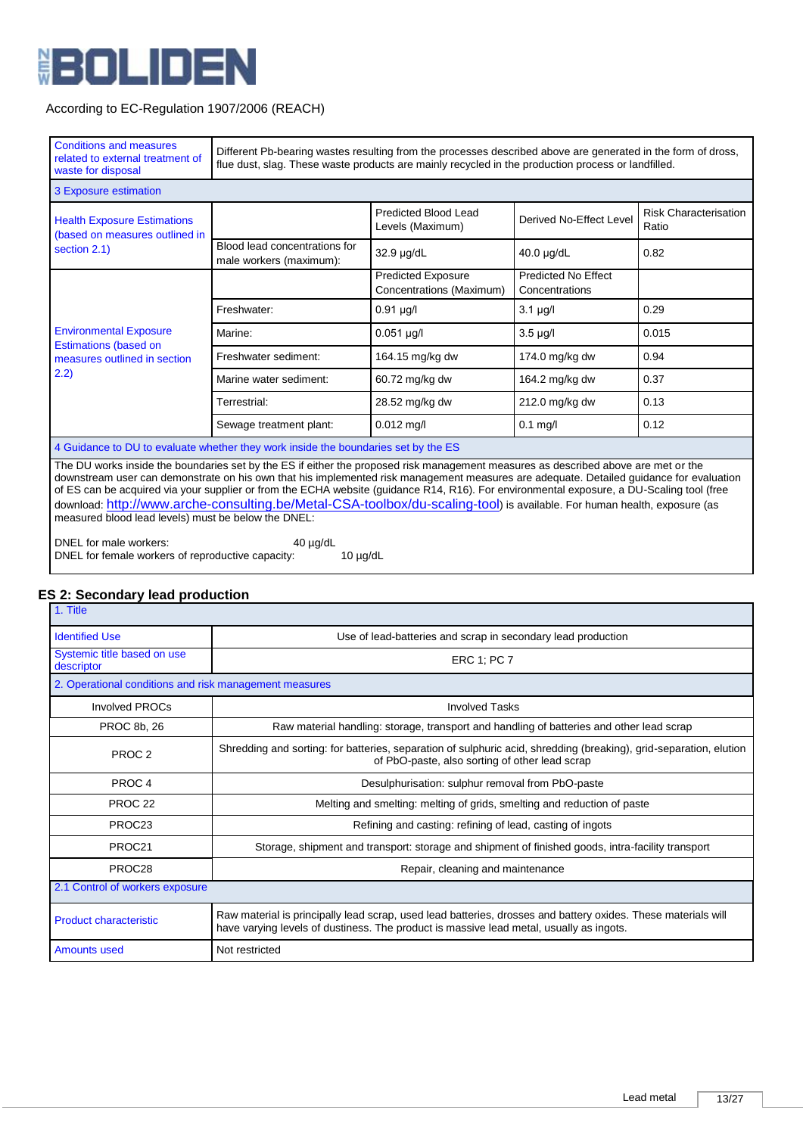

| <b>Conditions and measures</b><br>related to external treatment of<br>waste for disposal                                                  | Different Pb-bearing wastes resulting from the processes described above are generated in the form of dross,<br>flue dust, slag. These waste products are mainly recycled in the production process or landfilled.                                                            |                                                       |                                       |                                       |
|-------------------------------------------------------------------------------------------------------------------------------------------|-------------------------------------------------------------------------------------------------------------------------------------------------------------------------------------------------------------------------------------------------------------------------------|-------------------------------------------------------|---------------------------------------|---------------------------------------|
| 3 Exposure estimation                                                                                                                     |                                                                                                                                                                                                                                                                               |                                                       |                                       |                                       |
| <b>Health Exposure Estimations</b><br>(based on measures outlined in                                                                      |                                                                                                                                                                                                                                                                               | <b>Predicted Blood Lead</b><br>Levels (Maximum)       | Derived No-Effect Level               | <b>Risk Characterisation</b><br>Ratio |
| section 2.1)                                                                                                                              | Blood lead concentrations for<br>male workers (maximum):                                                                                                                                                                                                                      | 32.9 µg/dL                                            | 40.0 µg/dL                            | 0.82                                  |
|                                                                                                                                           |                                                                                                                                                                                                                                                                               | <b>Predicted Exposure</b><br>Concentrations (Maximum) | Predicted No Effect<br>Concentrations |                                       |
|                                                                                                                                           | Freshwater:                                                                                                                                                                                                                                                                   | $0.91$ µg/l                                           | $3.1 \mu g/l$                         | 0.29                                  |
| <b>Environmental Exposure</b>                                                                                                             | Marine:                                                                                                                                                                                                                                                                       | $0.051$ µg/l                                          | $3.5 \mu g/l$                         | 0.015                                 |
| <b>Estimations (based on</b><br>measures outlined in section                                                                              | Freshwater sediment:                                                                                                                                                                                                                                                          | 164.15 mg/kg dw                                       | 174.0 mg/kg dw                        | 0.94                                  |
| 2.2)                                                                                                                                      | Marine water sediment:                                                                                                                                                                                                                                                        | 60.72 mg/kg dw                                        | 164.2 mg/kg dw                        | 0.37                                  |
|                                                                                                                                           | Terrestrial:                                                                                                                                                                                                                                                                  | 28.52 mg/kg dw                                        | 212.0 mg/kg dw                        | 0.13                                  |
|                                                                                                                                           | Sewage treatment plant:                                                                                                                                                                                                                                                       | $0.012$ mg/l                                          | $0.1$ mg/l                            | 0.12                                  |
|                                                                                                                                           | 4 Guidance to DU to evaluate whether they work inside the boundaries set by the ES                                                                                                                                                                                            |                                                       |                                       |                                       |
| of ES can be acquired via your supplier or from the ECHA website (guidance R14, R16). For environmental exposure, a DU-Scaling tool (free | The DU works inside the boundaries set by the ES if either the proposed risk management measures as described above are met or the<br>downstream user can demonstrate on his own that his implemented risk management measures are adequate. Detailed guidance for evaluation |                                                       |                                       |                                       |

download: <mark><http://www.arche-consulting.be/Metal-CSA-toolbox/du-scaling-tool></mark>) is available. For human health, exposure (as

DNEL for male workers: 40 µg/dL DNEL for female workers of reproductive capacity: 10 µg/dL

measured blood lead levels) must be below the DNEL:

# **ES 2: Secondary lead production**

| 1. Title                                               |                                                                                                                                                                                                          |
|--------------------------------------------------------|----------------------------------------------------------------------------------------------------------------------------------------------------------------------------------------------------------|
| <b>Identified Use</b>                                  | Use of lead-batteries and scrap in secondary lead production                                                                                                                                             |
| Systemic title based on use<br>descriptor              | <b>ERC 1: PC 7</b>                                                                                                                                                                                       |
| 2. Operational conditions and risk management measures |                                                                                                                                                                                                          |
| <b>Involved PROCs</b>                                  | <b>Involved Tasks</b>                                                                                                                                                                                    |
| PROC 8b, 26                                            | Raw material handling: storage, transport and handling of batteries and other lead scrap                                                                                                                 |
| PROC <sub>2</sub>                                      | Shredding and sorting: for batteries, separation of sulphuric acid, shredding (breaking), grid-separation, elution<br>of PbO-paste, also sorting of other lead scrap                                     |
| PROC <sub>4</sub>                                      | Desulphurisation: sulphur removal from PbO-paste                                                                                                                                                         |
| PROC <sub>22</sub>                                     | Melting and smelting: melting of grids, smelting and reduction of paste                                                                                                                                  |
| PROC23                                                 | Refining and casting: refining of lead, casting of ingots                                                                                                                                                |
| PROC <sub>21</sub>                                     | Storage, shipment and transport: storage and shipment of finished goods, intra-facility transport                                                                                                        |
| PROC28                                                 | Repair, cleaning and maintenance                                                                                                                                                                         |
| 2.1 Control of workers exposure                        |                                                                                                                                                                                                          |
| <b>Product characteristic</b>                          | Raw material is principally lead scrap, used lead batteries, drosses and battery oxides. These materials will<br>have varying levels of dustiness. The product is massive lead metal, usually as ingots. |
| <b>Amounts used</b>                                    | Not restricted                                                                                                                                                                                           |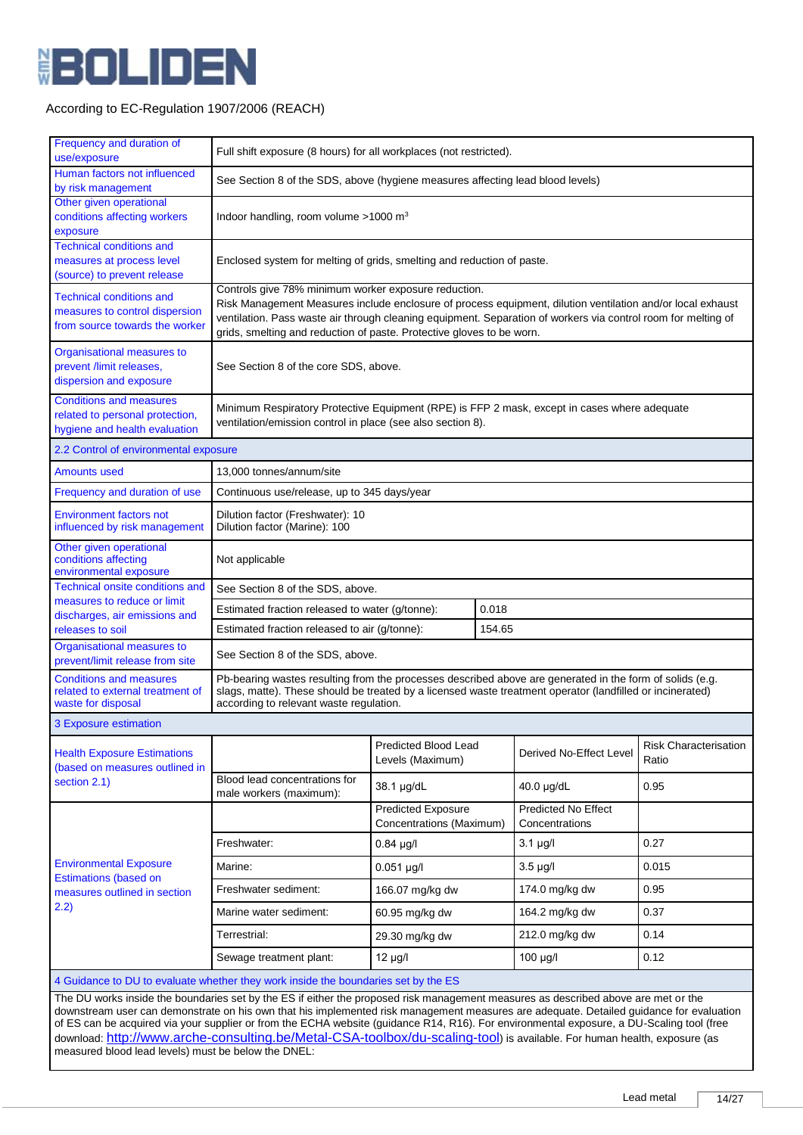

| Frequency and duration of<br>use/exposure                                                                                                                                                                                                                                                                                                                                                                                                                                                                                                              | Full shift exposure (8 hours) for all workplaces (not restricted).                                                                                                                                                                                                                                                                                           |                                                       |  |                                              |                                       |
|--------------------------------------------------------------------------------------------------------------------------------------------------------------------------------------------------------------------------------------------------------------------------------------------------------------------------------------------------------------------------------------------------------------------------------------------------------------------------------------------------------------------------------------------------------|--------------------------------------------------------------------------------------------------------------------------------------------------------------------------------------------------------------------------------------------------------------------------------------------------------------------------------------------------------------|-------------------------------------------------------|--|----------------------------------------------|---------------------------------------|
| Human factors not influenced<br>by risk management                                                                                                                                                                                                                                                                                                                                                                                                                                                                                                     | See Section 8 of the SDS, above (hygiene measures affecting lead blood levels)                                                                                                                                                                                                                                                                               |                                                       |  |                                              |                                       |
| Other given operational<br>conditions affecting workers<br>exposure                                                                                                                                                                                                                                                                                                                                                                                                                                                                                    | Indoor handling, room volume $>1000$ m <sup>3</sup>                                                                                                                                                                                                                                                                                                          |                                                       |  |                                              |                                       |
| <b>Technical conditions and</b><br>measures at process level<br>(source) to prevent release                                                                                                                                                                                                                                                                                                                                                                                                                                                            | Enclosed system for melting of grids, smelting and reduction of paste.                                                                                                                                                                                                                                                                                       |                                                       |  |                                              |                                       |
| <b>Technical conditions and</b><br>measures to control dispersion<br>from source towards the worker                                                                                                                                                                                                                                                                                                                                                                                                                                                    | Controls give 78% minimum worker exposure reduction.<br>Risk Management Measures include enclosure of process equipment, dilution ventilation and/or local exhaust<br>ventilation. Pass waste air through cleaning equipment. Separation of workers via control room for melting of<br>grids, smelting and reduction of paste. Protective gloves to be worn. |                                                       |  |                                              |                                       |
| Organisational measures to<br>prevent /limit releases,<br>dispersion and exposure                                                                                                                                                                                                                                                                                                                                                                                                                                                                      | See Section 8 of the core SDS, above.                                                                                                                                                                                                                                                                                                                        |                                                       |  |                                              |                                       |
| <b>Conditions and measures</b><br>related to personal protection,<br>hygiene and health evaluation                                                                                                                                                                                                                                                                                                                                                                                                                                                     | Minimum Respiratory Protective Equipment (RPE) is FFP 2 mask, except in cases where adequate<br>ventilation/emission control in place (see also section 8).                                                                                                                                                                                                  |                                                       |  |                                              |                                       |
| 2.2 Control of environmental exposure                                                                                                                                                                                                                                                                                                                                                                                                                                                                                                                  |                                                                                                                                                                                                                                                                                                                                                              |                                                       |  |                                              |                                       |
| <b>Amounts used</b>                                                                                                                                                                                                                                                                                                                                                                                                                                                                                                                                    | 13,000 tonnes/annum/site                                                                                                                                                                                                                                                                                                                                     |                                                       |  |                                              |                                       |
| Frequency and duration of use                                                                                                                                                                                                                                                                                                                                                                                                                                                                                                                          | Continuous use/release, up to 345 days/year                                                                                                                                                                                                                                                                                                                  |                                                       |  |                                              |                                       |
| <b>Environment factors not</b><br>influenced by risk management                                                                                                                                                                                                                                                                                                                                                                                                                                                                                        | Dilution factor (Freshwater): 10<br>Dilution factor (Marine): 100                                                                                                                                                                                                                                                                                            |                                                       |  |                                              |                                       |
| Other given operational<br>conditions affecting<br>environmental exposure                                                                                                                                                                                                                                                                                                                                                                                                                                                                              | Not applicable                                                                                                                                                                                                                                                                                                                                               |                                                       |  |                                              |                                       |
| Technical onsite conditions and                                                                                                                                                                                                                                                                                                                                                                                                                                                                                                                        | See Section 8 of the SDS, above.                                                                                                                                                                                                                                                                                                                             |                                                       |  |                                              |                                       |
| measures to reduce or limit<br>discharges, air emissions and                                                                                                                                                                                                                                                                                                                                                                                                                                                                                           | 0.018<br>Estimated fraction released to water (g/tonne):                                                                                                                                                                                                                                                                                                     |                                                       |  |                                              |                                       |
| releases to soil                                                                                                                                                                                                                                                                                                                                                                                                                                                                                                                                       | Estimated fraction released to air (g/tonne):<br>154.65                                                                                                                                                                                                                                                                                                      |                                                       |  |                                              |                                       |
| Organisational measures to<br>prevent/limit release from site                                                                                                                                                                                                                                                                                                                                                                                                                                                                                          | See Section 8 of the SDS, above.                                                                                                                                                                                                                                                                                                                             |                                                       |  |                                              |                                       |
| <b>Conditions and measures</b><br>related to external treatment of<br>waste for disposal                                                                                                                                                                                                                                                                                                                                                                                                                                                               | Pb-bearing wastes resulting from the processes described above are generated in the form of solids (e.g.<br>slags, matte). These should be treated by a licensed waste treatment operator (landfilled or incinerated)<br>according to relevant waste regulation.                                                                                             |                                                       |  |                                              |                                       |
| 3 Exposure estimation                                                                                                                                                                                                                                                                                                                                                                                                                                                                                                                                  |                                                                                                                                                                                                                                                                                                                                                              |                                                       |  |                                              |                                       |
| <b>Health Exposure Estimations</b><br>(based on measures outlined in                                                                                                                                                                                                                                                                                                                                                                                                                                                                                   |                                                                                                                                                                                                                                                                                                                                                              | Predicted Blood Lead<br>Levels (Maximum)              |  | Derived No-Effect Level                      | <b>Risk Characterisation</b><br>Ratio |
| section 2.1)                                                                                                                                                                                                                                                                                                                                                                                                                                                                                                                                           | Blood lead concentrations for<br>male workers (maximum):                                                                                                                                                                                                                                                                                                     | 38.1 µg/dL                                            |  | 40.0 µg/dL                                   | 0.95                                  |
|                                                                                                                                                                                                                                                                                                                                                                                                                                                                                                                                                        |                                                                                                                                                                                                                                                                                                                                                              | <b>Predicted Exposure</b><br>Concentrations (Maximum) |  | <b>Predicted No Effect</b><br>Concentrations |                                       |
|                                                                                                                                                                                                                                                                                                                                                                                                                                                                                                                                                        | Freshwater:                                                                                                                                                                                                                                                                                                                                                  | $0.84 \mu g/l$                                        |  | $3.1 \mu g/l$                                | 0.27                                  |
| <b>Environmental Exposure</b>                                                                                                                                                                                                                                                                                                                                                                                                                                                                                                                          | Marine:                                                                                                                                                                                                                                                                                                                                                      | $0.051$ µg/l                                          |  | $3.5 \mu g/l$                                | 0.015                                 |
| <b>Estimations (based on</b><br>measures outlined in section                                                                                                                                                                                                                                                                                                                                                                                                                                                                                           | Freshwater sediment:                                                                                                                                                                                                                                                                                                                                         | 166.07 mg/kg dw                                       |  | 174.0 mg/kg dw                               | 0.95                                  |
| 2.2)                                                                                                                                                                                                                                                                                                                                                                                                                                                                                                                                                   | Marine water sediment:                                                                                                                                                                                                                                                                                                                                       | 60.95 mg/kg dw                                        |  | 164.2 mg/kg dw                               | 0.37                                  |
|                                                                                                                                                                                                                                                                                                                                                                                                                                                                                                                                                        | Terrestrial:                                                                                                                                                                                                                                                                                                                                                 | 29.30 mg/kg dw                                        |  | 212.0 mg/kg dw                               | 0.14                                  |
|                                                                                                                                                                                                                                                                                                                                                                                                                                                                                                                                                        | Sewage treatment plant:                                                                                                                                                                                                                                                                                                                                      | $12 \mu g/l$                                          |  | 100 µg/l                                     | 0.12                                  |
|                                                                                                                                                                                                                                                                                                                                                                                                                                                                                                                                                        | 4 Guidance to DU to evaluate whether they work inside the boundaries set by the ES                                                                                                                                                                                                                                                                           |                                                       |  |                                              |                                       |
| The DU works inside the boundaries set by the ES if either the proposed risk management measures as described above are met or the<br>downstream user can demonstrate on his own that his implemented risk management measures are adequate. Detailed guidance for evaluation<br>of ES can be acquired via your supplier or from the ECHA website (guidance R14, R16). For environmental exposure, a DU-Scaling tool (free<br>download: http://www.arche-consulting.be/Metal-CSA-toolbox/du-scaling-tool) is available. For human health, exposure (as |                                                                                                                                                                                                                                                                                                                                                              |                                                       |  |                                              |                                       |

measured blood lead levels) must be below the DNEL: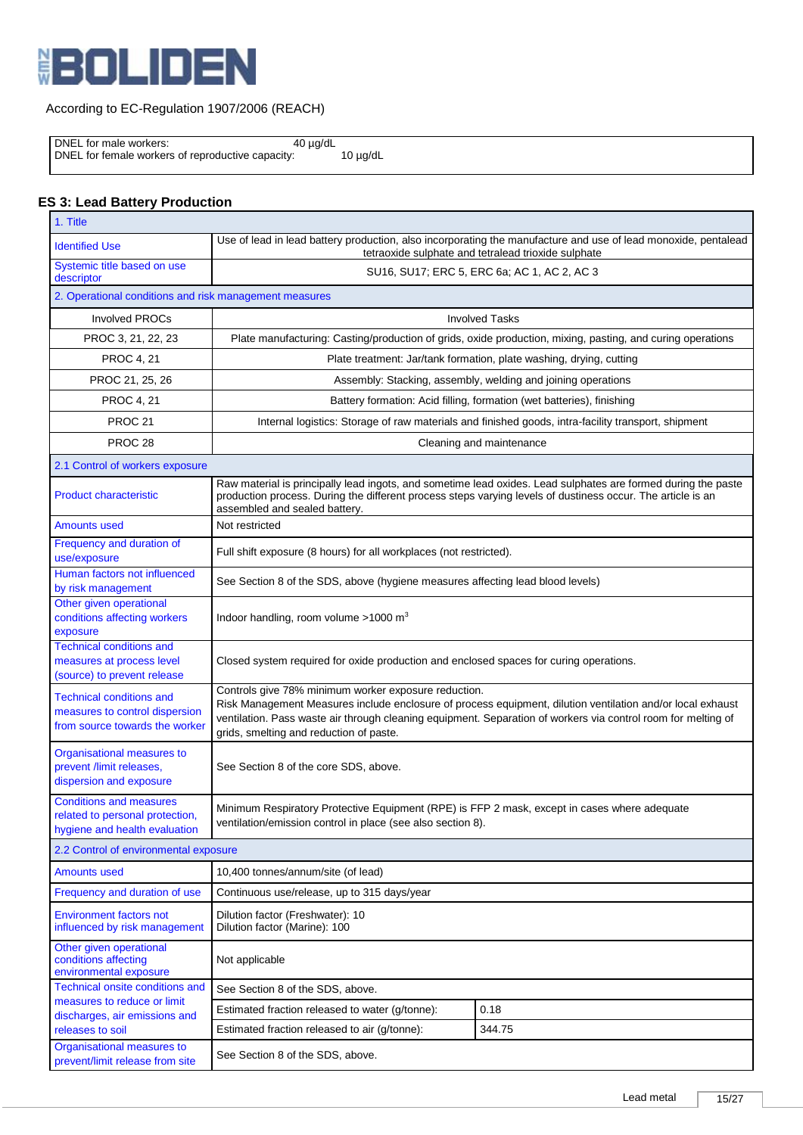

 DNEL for male workers: 40 µg/dL DNEL for female workers of reproductive capacity: 10 µg/dL

# **ES 3: Lead Battery Production**

| 1. Title                                                                                            |                                                                                                                                                                       |                                                                                                                                                                                                                             |  |  |  |
|-----------------------------------------------------------------------------------------------------|-----------------------------------------------------------------------------------------------------------------------------------------------------------------------|-----------------------------------------------------------------------------------------------------------------------------------------------------------------------------------------------------------------------------|--|--|--|
| <b>Identified Use</b>                                                                               | Use of lead in lead battery production, also incorporating the manufacture and use of lead monoxide, pentalead<br>tetraoxide sulphate and tetralead trioxide sulphate |                                                                                                                                                                                                                             |  |  |  |
| Systemic title based on use<br>descriptor                                                           | SU16, SU17; ERC 5, ERC 6a; AC 1, AC 2, AC 3                                                                                                                           |                                                                                                                                                                                                                             |  |  |  |
| 2. Operational conditions and risk management measures                                              |                                                                                                                                                                       |                                                                                                                                                                                                                             |  |  |  |
| <b>Involved PROCs</b>                                                                               |                                                                                                                                                                       | <b>Involved Tasks</b>                                                                                                                                                                                                       |  |  |  |
| PROC 3, 21, 22, 23                                                                                  | Plate manufacturing: Casting/production of grids, oxide production, mixing, pasting, and curing operations                                                            |                                                                                                                                                                                                                             |  |  |  |
| <b>PROC 4, 21</b>                                                                                   | Plate treatment: Jar/tank formation, plate washing, drying, cutting                                                                                                   |                                                                                                                                                                                                                             |  |  |  |
| PROC 21, 25, 26                                                                                     |                                                                                                                                                                       | Assembly: Stacking, assembly, welding and joining operations                                                                                                                                                                |  |  |  |
| <b>PROC 4, 21</b>                                                                                   |                                                                                                                                                                       | Battery formation: Acid filling, formation (wet batteries), finishing                                                                                                                                                       |  |  |  |
| PROC <sub>21</sub>                                                                                  |                                                                                                                                                                       | Internal logistics: Storage of raw materials and finished goods, intra-facility transport, shipment                                                                                                                         |  |  |  |
| PROC <sub>28</sub>                                                                                  |                                                                                                                                                                       | Cleaning and maintenance                                                                                                                                                                                                    |  |  |  |
| 2.1 Control of workers exposure                                                                     |                                                                                                                                                                       |                                                                                                                                                                                                                             |  |  |  |
| <b>Product characteristic</b>                                                                       | production process. During the different process steps varying levels of dustiness occur. The article is an<br>assembled and sealed battery.                          | Raw material is principally lead ingots, and sometime lead oxides. Lead sulphates are formed during the paste                                                                                                               |  |  |  |
| <b>Amounts used</b>                                                                                 | Not restricted                                                                                                                                                        |                                                                                                                                                                                                                             |  |  |  |
| Frequency and duration of<br>use/exposure                                                           | Full shift exposure (8 hours) for all workplaces (not restricted).                                                                                                    |                                                                                                                                                                                                                             |  |  |  |
| Human factors not influenced<br>by risk management                                                  | See Section 8 of the SDS, above (hygiene measures affecting lead blood levels)                                                                                        |                                                                                                                                                                                                                             |  |  |  |
| Other given operational<br>conditions affecting workers<br>exposure                                 | Indoor handling, room volume $>1000$ m <sup>3</sup>                                                                                                                   |                                                                                                                                                                                                                             |  |  |  |
| <b>Technical conditions and</b><br>measures at process level<br>(source) to prevent release         |                                                                                                                                                                       | Closed system required for oxide production and enclosed spaces for curing operations.                                                                                                                                      |  |  |  |
| <b>Technical conditions and</b><br>measures to control dispersion<br>from source towards the worker | Controls give 78% minimum worker exposure reduction.<br>grids, smelting and reduction of paste.                                                                       | Risk Management Measures include enclosure of process equipment, dilution ventilation and/or local exhaust<br>ventilation. Pass waste air through cleaning equipment. Separation of workers via control room for melting of |  |  |  |
| Organisational measures to<br>prevent /limit releases,<br>dispersion and exposure                   | See Section 8 of the core SDS, above.                                                                                                                                 |                                                                                                                                                                                                                             |  |  |  |
| <b>Conditions and measures</b><br>related to personal protection,<br>hygiene and health evaluation  | Minimum Respiratory Protective Equipment (RPE) is FFP 2 mask, except in cases where adequate<br>ventilation/emission control in place (see also section 8).           |                                                                                                                                                                                                                             |  |  |  |
| 2.2 Control of environmental exposure                                                               |                                                                                                                                                                       |                                                                                                                                                                                                                             |  |  |  |
| <b>Amounts used</b>                                                                                 | 10,400 tonnes/annum/site (of lead)                                                                                                                                    |                                                                                                                                                                                                                             |  |  |  |
| Frequency and duration of use                                                                       | Continuous use/release, up to 315 days/year                                                                                                                           |                                                                                                                                                                                                                             |  |  |  |
| <b>Environment factors not</b><br>influenced by risk management                                     | Dilution factor (Freshwater): 10<br>Dilution factor (Marine): 100                                                                                                     |                                                                                                                                                                                                                             |  |  |  |
| Other given operational<br>conditions affecting<br>environmental exposure                           | Not applicable                                                                                                                                                        |                                                                                                                                                                                                                             |  |  |  |
| <b>Technical onsite conditions and</b>                                                              | See Section 8 of the SDS, above.                                                                                                                                      |                                                                                                                                                                                                                             |  |  |  |
| measures to reduce or limit<br>discharges, air emissions and                                        | Estimated fraction released to water (g/tonne):                                                                                                                       | 0.18                                                                                                                                                                                                                        |  |  |  |
| releases to soil                                                                                    | Estimated fraction released to air (g/tonne):                                                                                                                         | 344.75                                                                                                                                                                                                                      |  |  |  |
| Organisational measures to<br>prevent/limit release from site                                       | See Section 8 of the SDS, above.                                                                                                                                      |                                                                                                                                                                                                                             |  |  |  |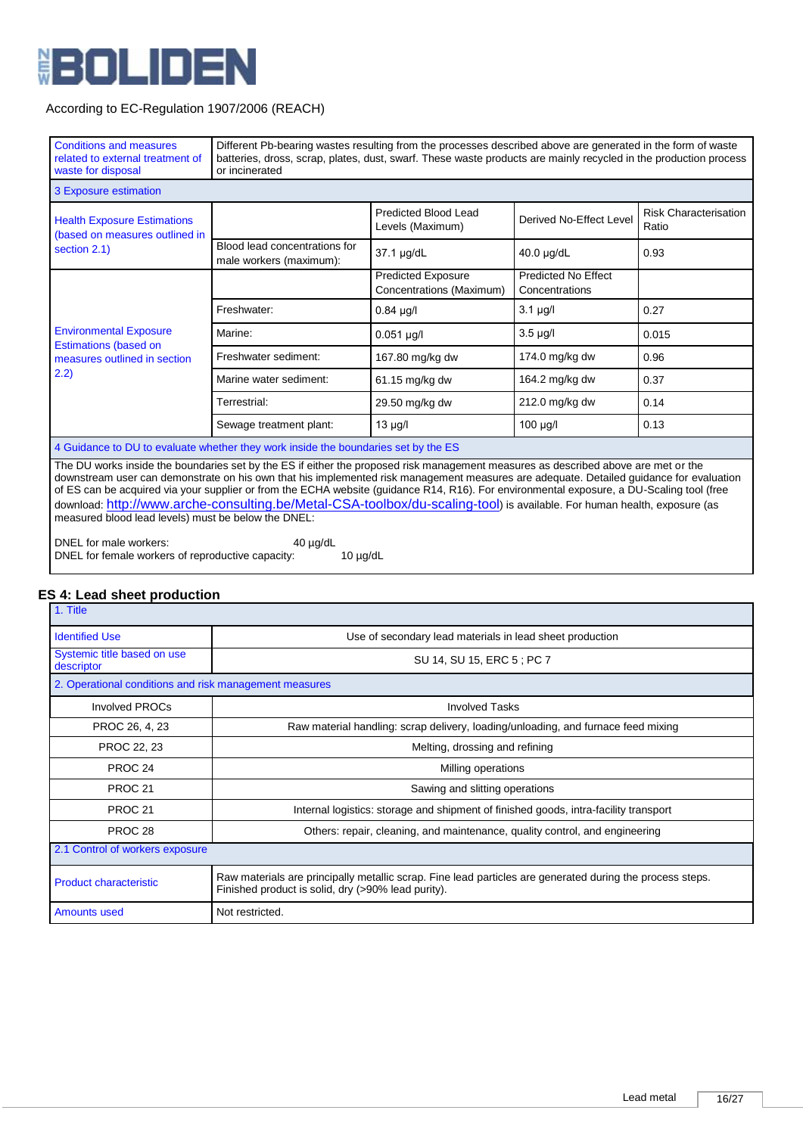

| <b>Conditions and measures</b><br>related to external treatment of<br>waste for disposal                                                                                                                                                                                                                                                                                                                                   | Different Pb-bearing wastes resulting from the processes described above are generated in the form of waste<br>batteries, dross, scrap, plates, dust, swarf. These waste products are mainly recycled in the production process<br>or incinerated |                                                       |                                                                                                                                                                     |                                       |
|----------------------------------------------------------------------------------------------------------------------------------------------------------------------------------------------------------------------------------------------------------------------------------------------------------------------------------------------------------------------------------------------------------------------------|---------------------------------------------------------------------------------------------------------------------------------------------------------------------------------------------------------------------------------------------------|-------------------------------------------------------|---------------------------------------------------------------------------------------------------------------------------------------------------------------------|---------------------------------------|
| 3 Exposure estimation                                                                                                                                                                                                                                                                                                                                                                                                      |                                                                                                                                                                                                                                                   |                                                       |                                                                                                                                                                     |                                       |
| <b>Health Exposure Estimations</b><br>(based on measures outlined in                                                                                                                                                                                                                                                                                                                                                       |                                                                                                                                                                                                                                                   | Predicted Blood Lead<br>Levels (Maximum)              | Derived No-Effect Level                                                                                                                                             | <b>Risk Characterisation</b><br>Ratio |
| section 2.1)                                                                                                                                                                                                                                                                                                                                                                                                               | Blood lead concentrations for<br>male workers (maximum):                                                                                                                                                                                          | 37.1 µg/dL                                            | 40.0 µg/dL<br><b>Predicted No Effect</b><br>Concentrations<br>$3.1 \mu g/l$<br>$3.5 \mu g/l$<br>174.0 mg/kg dw<br>164.2 mg/kg dw<br>212.0 mg/kg dw<br>$100 \mu g/l$ | 0.93                                  |
|                                                                                                                                                                                                                                                                                                                                                                                                                            |                                                                                                                                                                                                                                                   | <b>Predicted Exposure</b><br>Concentrations (Maximum) |                                                                                                                                                                     |                                       |
|                                                                                                                                                                                                                                                                                                                                                                                                                            | Freshwater:                                                                                                                                                                                                                                       | $0.84$ µg/l                                           |                                                                                                                                                                     | 0.27                                  |
| <b>Environmental Exposure</b><br><b>Estimations (based on</b>                                                                                                                                                                                                                                                                                                                                                              | Marine:                                                                                                                                                                                                                                           | $0.051$ µg/l                                          |                                                                                                                                                                     | 0.015                                 |
| measures outlined in section                                                                                                                                                                                                                                                                                                                                                                                               | Freshwater sediment:<br>167.80 mg/kg dw<br>0.96                                                                                                                                                                                                   |                                                       |                                                                                                                                                                     |                                       |
| (2.2)                                                                                                                                                                                                                                                                                                                                                                                                                      | Marine water sediment:                                                                                                                                                                                                                            | 61.15 mg/kg dw                                        |                                                                                                                                                                     | 0.37                                  |
|                                                                                                                                                                                                                                                                                                                                                                                                                            | Terrestrial:                                                                                                                                                                                                                                      | 29.50 mg/kg dw                                        |                                                                                                                                                                     | 0.14                                  |
|                                                                                                                                                                                                                                                                                                                                                                                                                            | Sewage treatment plant:                                                                                                                                                                                                                           | $13 \mu g/l$                                          |                                                                                                                                                                     | 0.13                                  |
| 4 Guidance to DU to evaluate whether they work inside the boundaries set by the ES                                                                                                                                                                                                                                                                                                                                         |                                                                                                                                                                                                                                                   |                                                       |                                                                                                                                                                     |                                       |
| The DU works inside the boundaries set by the ES if either the proposed risk management measures as described above are met or the<br>downstream user can demonstrate on his own that his implemented risk management measures are adequate. Detailed guidance for evaluation<br>of ES can be acquired via your supplier or from the ECHA website (guidance R14, R16). For environmental exposure, a DU-Scaling tool (free |                                                                                                                                                                                                                                                   |                                                       |                                                                                                                                                                     |                                       |

download: <http://www.arche-consulting.be/Metal-CSA-toolbox/du-scaling-tool>) is available. For human health, exposure (as

DNEL for male workers: 40 µg/dL DNEL for female workers of reproductive capacity: 10 µg/dL

measured blood lead levels) must be below the DNEL:

# **ES 4: Lead sheet production**

| 1. Title                                               |                                                                                                                                                                 |
|--------------------------------------------------------|-----------------------------------------------------------------------------------------------------------------------------------------------------------------|
| <b>Identified Use</b>                                  | Use of secondary lead materials in lead sheet production                                                                                                        |
| Systemic title based on use<br>descriptor              | SU 14, SU 15, ERC 5; PC 7                                                                                                                                       |
| 2. Operational conditions and risk management measures |                                                                                                                                                                 |
| Involved PROCs                                         | <b>Involved Tasks</b>                                                                                                                                           |
| PROC 26, 4, 23                                         | Raw material handling: scrap delivery, loading/unloading, and furnace feed mixing                                                                               |
| PROC 22, 23                                            | Melting, drossing and refining                                                                                                                                  |
| PROC <sub>24</sub>                                     | Milling operations                                                                                                                                              |
| PROC <sub>21</sub>                                     | Sawing and slitting operations                                                                                                                                  |
| PROC <sub>21</sub>                                     | Internal logistics: storage and shipment of finished goods, intra-facility transport                                                                            |
| PROC <sub>28</sub>                                     | Others: repair, cleaning, and maintenance, quality control, and engineering                                                                                     |
| 2.1 Control of workers exposure                        |                                                                                                                                                                 |
| <b>Product characteristic</b>                          | Raw materials are principally metallic scrap. Fine lead particles are generated during the process steps.<br>Finished product is solid, dry (>90% lead purity). |
| <b>Amounts used</b>                                    | Not restricted.                                                                                                                                                 |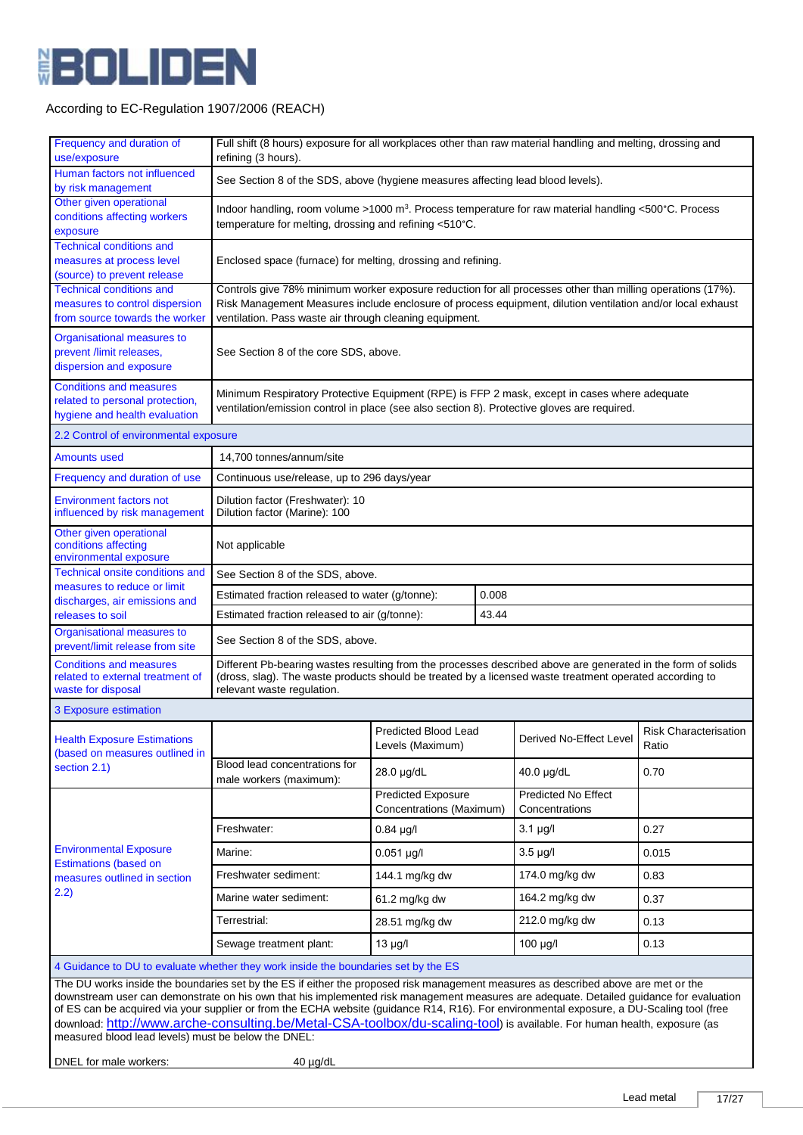

| Frequency and duration of<br>use/exposure                                                                                                                                                                                                                                                                                                                                                                                                                                                                                                                                                                                                                                                           | refining (3 hours).                                                                                                                                                                                                                                                                 | Full shift (8 hours) exposure for all workplaces other than raw material handling and melting, drossing and |                                              |                                |  |
|-----------------------------------------------------------------------------------------------------------------------------------------------------------------------------------------------------------------------------------------------------------------------------------------------------------------------------------------------------------------------------------------------------------------------------------------------------------------------------------------------------------------------------------------------------------------------------------------------------------------------------------------------------------------------------------------------------|-------------------------------------------------------------------------------------------------------------------------------------------------------------------------------------------------------------------------------------------------------------------------------------|-------------------------------------------------------------------------------------------------------------|----------------------------------------------|--------------------------------|--|
| Human factors not influenced<br>by risk management                                                                                                                                                                                                                                                                                                                                                                                                                                                                                                                                                                                                                                                  | See Section 8 of the SDS, above (hygiene measures affecting lead blood levels).                                                                                                                                                                                                     |                                                                                                             |                                              |                                |  |
| Other given operational<br>conditions affecting workers<br>exposure                                                                                                                                                                                                                                                                                                                                                                                                                                                                                                                                                                                                                                 | Indoor handling, room volume >1000 m <sup>3</sup> . Process temperature for raw material handling <500°C. Process<br>temperature for melting, drossing and refining <510°C.                                                                                                         |                                                                                                             |                                              |                                |  |
| <b>Technical conditions and</b><br>measures at process level<br>(source) to prevent release                                                                                                                                                                                                                                                                                                                                                                                                                                                                                                                                                                                                         | Enclosed space (furnace) for melting, drossing and refining.                                                                                                                                                                                                                        |                                                                                                             |                                              |                                |  |
| <b>Technical conditions and</b><br>measures to control dispersion<br>from source towards the worker                                                                                                                                                                                                                                                                                                                                                                                                                                                                                                                                                                                                 | Controls give 78% minimum worker exposure reduction for all processes other than milling operations (17%).<br>Risk Management Measures include enclosure of process equipment, dilution ventilation and/or local exhaust<br>ventilation. Pass waste air through cleaning equipment. |                                                                                                             |                                              |                                |  |
| Organisational measures to<br>prevent /limit releases,<br>dispersion and exposure                                                                                                                                                                                                                                                                                                                                                                                                                                                                                                                                                                                                                   | See Section 8 of the core SDS, above.                                                                                                                                                                                                                                               |                                                                                                             |                                              |                                |  |
| <b>Conditions and measures</b><br>related to personal protection,<br>hygiene and health evaluation                                                                                                                                                                                                                                                                                                                                                                                                                                                                                                                                                                                                  | Minimum Respiratory Protective Equipment (RPE) is FFP 2 mask, except in cases where adequate<br>ventilation/emission control in place (see also section 8). Protective gloves are required.                                                                                         |                                                                                                             |                                              |                                |  |
| 2.2 Control of environmental exposure                                                                                                                                                                                                                                                                                                                                                                                                                                                                                                                                                                                                                                                               |                                                                                                                                                                                                                                                                                     |                                                                                                             |                                              |                                |  |
| <b>Amounts used</b>                                                                                                                                                                                                                                                                                                                                                                                                                                                                                                                                                                                                                                                                                 | 14,700 tonnes/annum/site                                                                                                                                                                                                                                                            |                                                                                                             |                                              |                                |  |
| Frequency and duration of use                                                                                                                                                                                                                                                                                                                                                                                                                                                                                                                                                                                                                                                                       | Continuous use/release, up to 296 days/year                                                                                                                                                                                                                                         |                                                                                                             |                                              |                                |  |
| <b>Environment factors not</b><br>influenced by risk management                                                                                                                                                                                                                                                                                                                                                                                                                                                                                                                                                                                                                                     | Dilution factor (Freshwater): 10<br>Dilution factor (Marine): 100                                                                                                                                                                                                                   |                                                                                                             |                                              |                                |  |
| Other given operational<br>conditions affecting<br>environmental exposure                                                                                                                                                                                                                                                                                                                                                                                                                                                                                                                                                                                                                           | Not applicable                                                                                                                                                                                                                                                                      |                                                                                                             |                                              |                                |  |
| <b>Technical onsite conditions and</b>                                                                                                                                                                                                                                                                                                                                                                                                                                                                                                                                                                                                                                                              | See Section 8 of the SDS, above.                                                                                                                                                                                                                                                    |                                                                                                             |                                              |                                |  |
| measures to reduce or limit<br>discharges, air emissions and                                                                                                                                                                                                                                                                                                                                                                                                                                                                                                                                                                                                                                        | 0.008<br>Estimated fraction released to water (g/tonne):                                                                                                                                                                                                                            |                                                                                                             |                                              |                                |  |
| releases to soil                                                                                                                                                                                                                                                                                                                                                                                                                                                                                                                                                                                                                                                                                    | Estimated fraction released to air (g/tonne):<br>43.44                                                                                                                                                                                                                              |                                                                                                             |                                              |                                |  |
| Organisational measures to<br>prevent/limit release from site                                                                                                                                                                                                                                                                                                                                                                                                                                                                                                                                                                                                                                       | See Section 8 of the SDS, above.                                                                                                                                                                                                                                                    |                                                                                                             |                                              |                                |  |
| <b>Conditions and measures</b><br>related to external treatment of<br>waste for disposal                                                                                                                                                                                                                                                                                                                                                                                                                                                                                                                                                                                                            | Different Pb-bearing wastes resulting from the processes described above are generated in the form of solids<br>(dross, slag). The waste products should be treated by a licensed waste treatment operated according to<br>relevant waste regulation.                               |                                                                                                             |                                              |                                |  |
| 3 Exposure estimation                                                                                                                                                                                                                                                                                                                                                                                                                                                                                                                                                                                                                                                                               |                                                                                                                                                                                                                                                                                     |                                                                                                             |                                              |                                |  |
| <b>Health Exposure Estimations</b><br>(based on measures outlined in                                                                                                                                                                                                                                                                                                                                                                                                                                                                                                                                                                                                                                |                                                                                                                                                                                                                                                                                     | Predicted Blood Lead<br>Levels (Maximum)                                                                    | Derived No-Effect Level                      | Risk Characterisation<br>Ratio |  |
| section 2.1)                                                                                                                                                                                                                                                                                                                                                                                                                                                                                                                                                                                                                                                                                        | Blood lead concentrations for<br>male workers (maximum):                                                                                                                                                                                                                            | 28.0 µg/dL                                                                                                  | 40.0 µg/dL                                   | 0.70                           |  |
|                                                                                                                                                                                                                                                                                                                                                                                                                                                                                                                                                                                                                                                                                                     |                                                                                                                                                                                                                                                                                     | <b>Predicted Exposure</b><br>Concentrations (Maximum)                                                       | <b>Predicted No Effect</b><br>Concentrations |                                |  |
|                                                                                                                                                                                                                                                                                                                                                                                                                                                                                                                                                                                                                                                                                                     | Freshwater:                                                                                                                                                                                                                                                                         | $0.84$ µg/l                                                                                                 | $3.1 \mu g/l$                                | 0.27                           |  |
| <b>Environmental Exposure</b>                                                                                                                                                                                                                                                                                                                                                                                                                                                                                                                                                                                                                                                                       | Marine:                                                                                                                                                                                                                                                                             | $0.051$ µg/l                                                                                                | $3.5 \mu g/l$                                | 0.015                          |  |
| <b>Estimations (based on</b><br>measures outlined in section                                                                                                                                                                                                                                                                                                                                                                                                                                                                                                                                                                                                                                        | Freshwater sediment:                                                                                                                                                                                                                                                                | 144.1 mg/kg dw                                                                                              | 174.0 mg/kg dw                               | 0.83                           |  |
| 2.2)                                                                                                                                                                                                                                                                                                                                                                                                                                                                                                                                                                                                                                                                                                | Marine water sediment:                                                                                                                                                                                                                                                              | 61.2 mg/kg dw                                                                                               | 164.2 mg/kg dw                               | 0.37                           |  |
|                                                                                                                                                                                                                                                                                                                                                                                                                                                                                                                                                                                                                                                                                                     | Terrestrial:                                                                                                                                                                                                                                                                        | 28.51 mg/kg dw                                                                                              | 212.0 mg/kg dw                               | 0.13                           |  |
|                                                                                                                                                                                                                                                                                                                                                                                                                                                                                                                                                                                                                                                                                                     | Sewage treatment plant:                                                                                                                                                                                                                                                             | $13 \mu g/l$                                                                                                | $100 \mu g/l$                                | 0.13                           |  |
|                                                                                                                                                                                                                                                                                                                                                                                                                                                                                                                                                                                                                                                                                                     |                                                                                                                                                                                                                                                                                     |                                                                                                             |                                              |                                |  |
| 4 Guidance to DU to evaluate whether they work inside the boundaries set by the ES<br>The DU works inside the boundaries set by the ES if either the proposed risk management measures as described above are met or the<br>downstream user can demonstrate on his own that his implemented risk management measures are adequate. Detailed guidance for evaluation<br>of ES can be acquired via your supplier or from the ECHA website (guidance R14, R16). For environmental exposure, a DU-Scaling tool (free<br>download: http://www.arche-consulting.be/Metal-CSA-toolbox/du-scaling-tool) is available. For human health, exposure (as<br>measured blood lead levels) must be below the DNEL: |                                                                                                                                                                                                                                                                                     |                                                                                                             |                                              |                                |  |
| DNEL for male workers:                                                                                                                                                                                                                                                                                                                                                                                                                                                                                                                                                                                                                                                                              | $40 \mu g/dL$                                                                                                                                                                                                                                                                       |                                                                                                             |                                              |                                |  |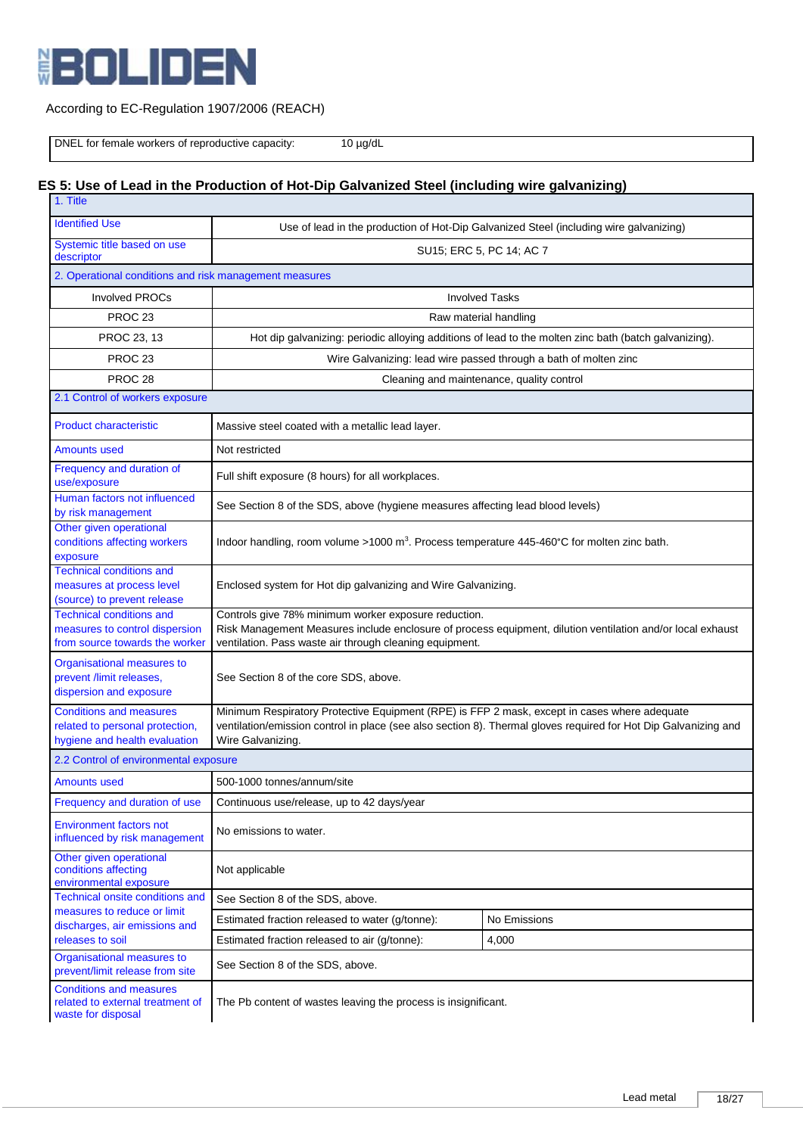

# According to EC-Regulation 1907/2006 (REACH)

DNEL for female workers of reproductive capacity: 10 µg/dL

# **ES 5: Use of Lead in the Production of Hot-Dip Galvanized Steel (including wire galvanizing)**

| 1. Title                                                                                            |                                                                                                                                                                                                                                      |                                           |  |
|-----------------------------------------------------------------------------------------------------|--------------------------------------------------------------------------------------------------------------------------------------------------------------------------------------------------------------------------------------|-------------------------------------------|--|
| <b>Identified Use</b>                                                                               | Use of lead in the production of Hot-Dip Galvanized Steel (including wire galvanizing)                                                                                                                                               |                                           |  |
| Systemic title based on use<br>descriptor                                                           | SU15; ERC 5, PC 14; AC 7                                                                                                                                                                                                             |                                           |  |
| 2. Operational conditions and risk management measures                                              |                                                                                                                                                                                                                                      |                                           |  |
| <b>Involved PROCs</b>                                                                               |                                                                                                                                                                                                                                      | <b>Involved Tasks</b>                     |  |
| PROC <sub>23</sub>                                                                                  | Raw material handling                                                                                                                                                                                                                |                                           |  |
| PROC 23, 13                                                                                         | Hot dip galvanizing: periodic alloying additions of lead to the molten zinc bath (batch galvanizing).                                                                                                                                |                                           |  |
| PROC <sub>23</sub>                                                                                  | Wire Galvanizing: lead wire passed through a bath of molten zinc                                                                                                                                                                     |                                           |  |
| PROC <sub>28</sub>                                                                                  |                                                                                                                                                                                                                                      | Cleaning and maintenance, quality control |  |
| 2.1 Control of workers exposure                                                                     |                                                                                                                                                                                                                                      |                                           |  |
| <b>Product characteristic</b>                                                                       | Massive steel coated with a metallic lead layer.                                                                                                                                                                                     |                                           |  |
| <b>Amounts used</b>                                                                                 | Not restricted                                                                                                                                                                                                                       |                                           |  |
| Frequency and duration of<br>use/exposure                                                           | Full shift exposure (8 hours) for all workplaces.                                                                                                                                                                                    |                                           |  |
| Human factors not influenced<br>by risk management                                                  | See Section 8 of the SDS, above (hygiene measures affecting lead blood levels)                                                                                                                                                       |                                           |  |
| Other given operational<br>conditions affecting workers<br>exposure                                 | Indoor handling, room volume >1000 m <sup>3</sup> . Process temperature 445-460°C for molten zinc bath.                                                                                                                              |                                           |  |
| <b>Technical conditions and</b><br>measures at process level<br>(source) to prevent release         | Enclosed system for Hot dip galvanizing and Wire Galvanizing.                                                                                                                                                                        |                                           |  |
| <b>Technical conditions and</b><br>measures to control dispersion<br>from source towards the worker | Controls give 78% minimum worker exposure reduction.<br>Risk Management Measures include enclosure of process equipment, dilution ventilation and/or local exhaust<br>ventilation. Pass waste air through cleaning equipment.        |                                           |  |
| Organisational measures to<br>prevent /limit releases,<br>dispersion and exposure                   | See Section 8 of the core SDS, above.                                                                                                                                                                                                |                                           |  |
| <b>Conditions and measures</b><br>related to personal protection,<br>hygiene and health evaluation  | Minimum Respiratory Protective Equipment (RPE) is FFP 2 mask, except in cases where adequate<br>ventilation/emission control in place (see also section 8). Thermal gloves required for Hot Dip Galvanizing and<br>Wire Galvanizing. |                                           |  |
| 2.2 Control of environmental exposure                                                               |                                                                                                                                                                                                                                      |                                           |  |
| <b>Amounts used</b>                                                                                 | 500-1000 tonnes/annum/site                                                                                                                                                                                                           |                                           |  |
| Frequency and duration of use                                                                       | Continuous use/release, up to 42 days/year                                                                                                                                                                                           |                                           |  |
| <b>Environment factors not</b><br>influenced by risk management                                     | No emissions to water.                                                                                                                                                                                                               |                                           |  |
| Other given operational<br>conditions affecting<br>environmental exposure                           | Not applicable                                                                                                                                                                                                                       |                                           |  |
| Technical onsite conditions and                                                                     | See Section 8 of the SDS, above.                                                                                                                                                                                                     |                                           |  |
| measures to reduce or limit<br>discharges, air emissions and                                        | Estimated fraction released to water (g/tonne):<br>No Emissions                                                                                                                                                                      |                                           |  |
| releases to soil                                                                                    | Estimated fraction released to air (g/tonne):<br>4,000                                                                                                                                                                               |                                           |  |
| Organisational measures to<br>prevent/limit release from site                                       | See Section 8 of the SDS, above.                                                                                                                                                                                                     |                                           |  |
| <b>Conditions and measures</b><br>related to external treatment of<br>waste for disposal            | The Pb content of wastes leaving the process is insignificant.                                                                                                                                                                       |                                           |  |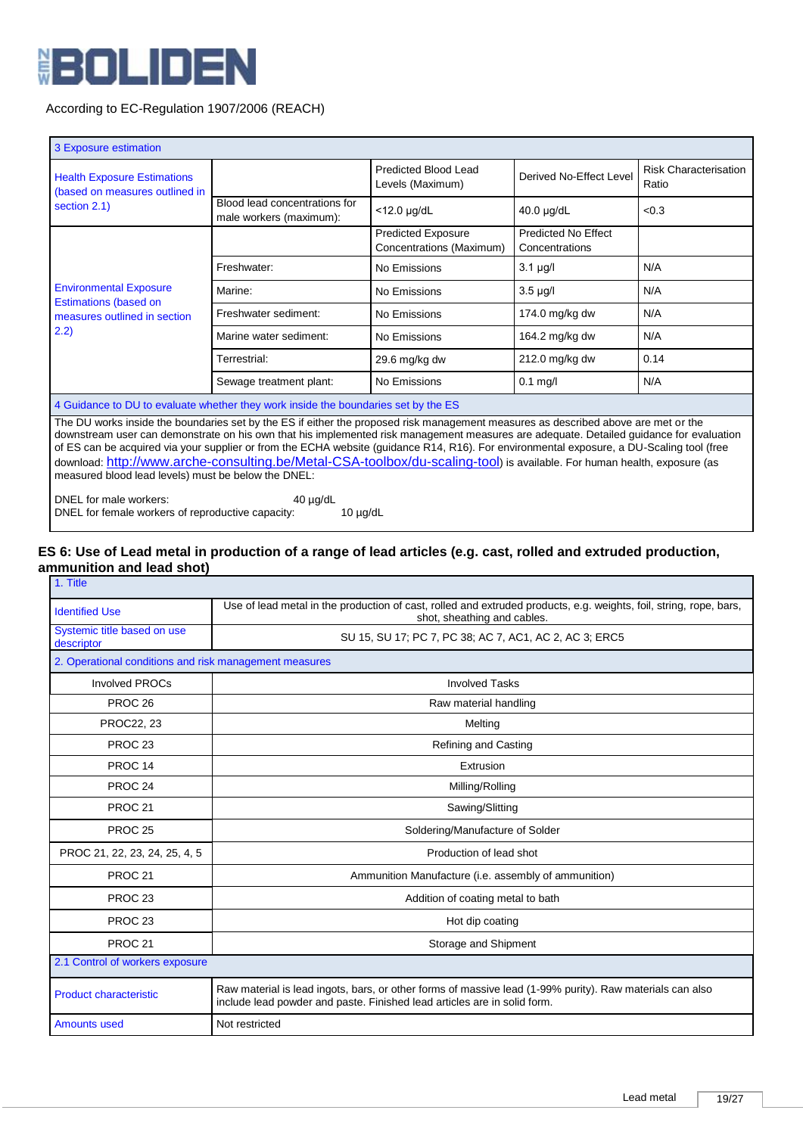

| 3 Exposure estimation                                                                                                                                                                            |                                                                                                                                                                                                                                                                                                                                                                                                           |                                                       |                                       |                                       |
|--------------------------------------------------------------------------------------------------------------------------------------------------------------------------------------------------|-----------------------------------------------------------------------------------------------------------------------------------------------------------------------------------------------------------------------------------------------------------------------------------------------------------------------------------------------------------------------------------------------------------|-------------------------------------------------------|---------------------------------------|---------------------------------------|
| <b>Health Exposure Estimations</b><br>(based on measures outlined in                                                                                                                             |                                                                                                                                                                                                                                                                                                                                                                                                           | Predicted Blood Lead<br>Levels (Maximum)              | Derived No-Effect Level               | <b>Risk Characterisation</b><br>Ratio |
| section 2.1)                                                                                                                                                                                     | Blood lead concentrations for<br>male workers (maximum):                                                                                                                                                                                                                                                                                                                                                  | $<$ 12.0 $\mu$ g/dL                                   | 40.0 µg/dL                            | < 0.3                                 |
|                                                                                                                                                                                                  |                                                                                                                                                                                                                                                                                                                                                                                                           | <b>Predicted Exposure</b><br>Concentrations (Maximum) | Predicted No Effect<br>Concentrations |                                       |
|                                                                                                                                                                                                  | Freshwater:                                                                                                                                                                                                                                                                                                                                                                                               | No Emissions                                          | $3.1 \mu g/l$                         | N/A                                   |
| <b>Environmental Exposure</b><br><b>Estimations (based on</b>                                                                                                                                    | Marine:                                                                                                                                                                                                                                                                                                                                                                                                   | No Emissions                                          | $3.5 \mu g/l$                         | N/A                                   |
| measures outlined in section                                                                                                                                                                     | Freshwater sediment:                                                                                                                                                                                                                                                                                                                                                                                      | No Emissions                                          | 174.0 mg/kg dw                        | N/A                                   |
| (2.2)                                                                                                                                                                                            | Marine water sediment:                                                                                                                                                                                                                                                                                                                                                                                    | No Emissions                                          | 164.2 mg/kg dw                        | N/A                                   |
|                                                                                                                                                                                                  | Terrestrial:                                                                                                                                                                                                                                                                                                                                                                                              | 29.6 mg/kg dw                                         | 212.0 mg/kg dw                        | 0.14                                  |
|                                                                                                                                                                                                  | Sewage treatment plant:                                                                                                                                                                                                                                                                                                                                                                                   | No Emissions                                          | $0.1$ mg/l                            | N/A                                   |
| 4 Guidance to DU to evaluate whether they work inside the boundaries set by the ES                                                                                                               |                                                                                                                                                                                                                                                                                                                                                                                                           |                                                       |                                       |                                       |
| of ES can be acquired via your supplier or from the ECHA website (guidance R14, R16). For environmental exposure, a DU-Scaling tool (free<br>measured blood lead levels) must be below the DNEL: | The DU works inside the boundaries set by the ES if either the proposed risk management measures as described above are met or the<br>downstream user can demonstrate on his own that his implemented risk management measures are adequate. Detailed guidance for evaluation<br>download: http://www.arche-consulting.be/Metal-CSA-toolbox/du-scaling-tool) is available. For human health, exposure (as |                                                       |                                       |                                       |

DNEL for male workers: 40 µg/dL DNEL for female workers of reproductive capacity: 10 µg/dL

#### **ES 6: Use of Lead metal in production of a range of lead articles (e.g. cast, rolled and extruded production, ammunition and lead shot)** 1. Title

| . <b>.</b>                                             |                                                                                                                                                                                      |  |
|--------------------------------------------------------|--------------------------------------------------------------------------------------------------------------------------------------------------------------------------------------|--|
| <b>Identified Use</b>                                  | Use of lead metal in the production of cast, rolled and extruded products, e.g. weights, foil, string, rope, bars,<br>shot, sheathing and cables.                                    |  |
| Systemic title based on use<br>descriptor              | SU 15, SU 17; PC 7, PC 38; AC 7, AC1, AC 2, AC 3; ERC5                                                                                                                               |  |
| 2. Operational conditions and risk management measures |                                                                                                                                                                                      |  |
| <b>Involved PROCs</b>                                  | <b>Involved Tasks</b>                                                                                                                                                                |  |
| PROC <sub>26</sub>                                     | Raw material handling                                                                                                                                                                |  |
| PROC22, 23                                             | Melting                                                                                                                                                                              |  |
| PROC <sub>23</sub>                                     | <b>Refining and Casting</b>                                                                                                                                                          |  |
| PROC <sub>14</sub>                                     | Extrusion                                                                                                                                                                            |  |
| PROC <sub>24</sub>                                     | Milling/Rolling                                                                                                                                                                      |  |
| PROC <sub>21</sub>                                     | Sawing/Slitting                                                                                                                                                                      |  |
| <b>PROC 25</b>                                         | Soldering/Manufacture of Solder                                                                                                                                                      |  |
| PROC 21, 22, 23, 24, 25, 4, 5                          | Production of lead shot                                                                                                                                                              |  |
| PROC <sub>21</sub>                                     | Ammunition Manufacture (i.e. assembly of ammunition)                                                                                                                                 |  |
| PROC <sub>23</sub>                                     | Addition of coating metal to bath                                                                                                                                                    |  |
| PROC <sub>23</sub>                                     | Hot dip coating                                                                                                                                                                      |  |
| PROC <sub>21</sub>                                     | Storage and Shipment                                                                                                                                                                 |  |
| 2.1 Control of workers exposure                        |                                                                                                                                                                                      |  |
| <b>Product characteristic</b>                          | Raw material is lead ingots, bars, or other forms of massive lead (1-99% purity). Raw materials can also<br>include lead powder and paste. Finished lead articles are in solid form. |  |
| <b>Amounts used</b>                                    | Not restricted                                                                                                                                                                       |  |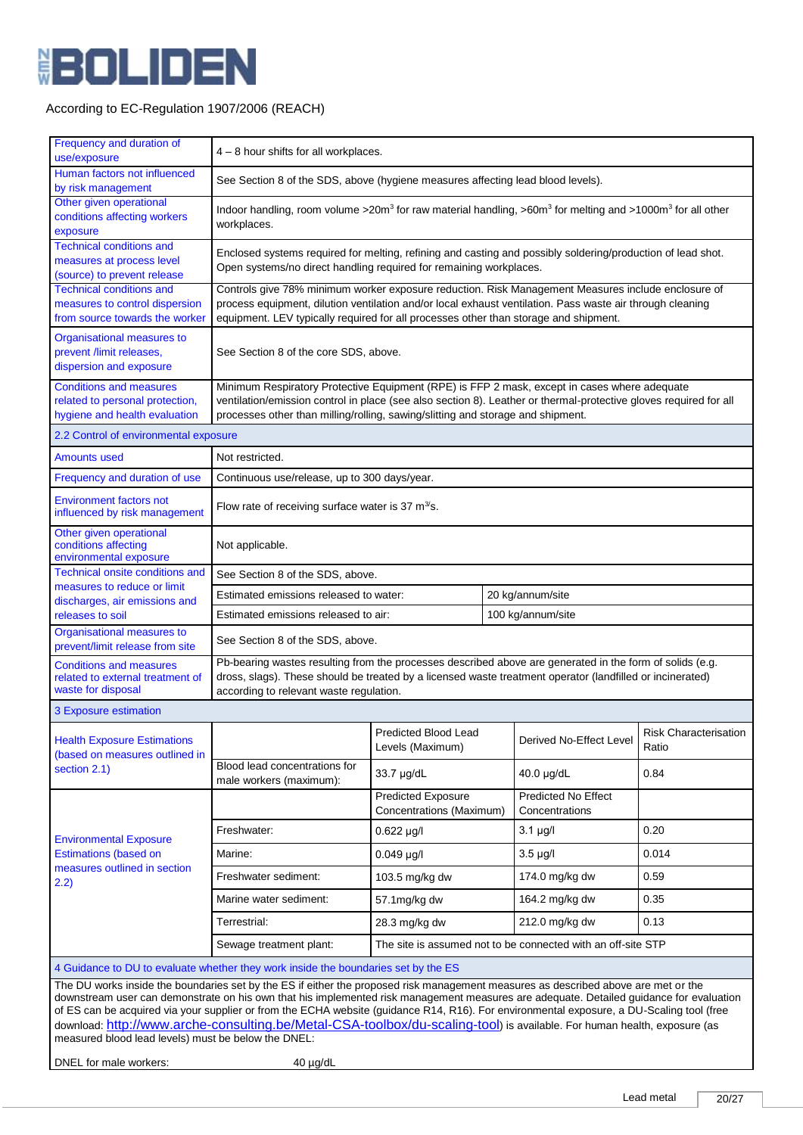

| Frequency and duration of                                                                                                                                                                                                                                                                                                                                                                                                                                                                                                                                                                                     |                                                                                                                                                                                                                                                                                                         |                                                                                                                                                                                   |  |                                              |                                       |  |
|---------------------------------------------------------------------------------------------------------------------------------------------------------------------------------------------------------------------------------------------------------------------------------------------------------------------------------------------------------------------------------------------------------------------------------------------------------------------------------------------------------------------------------------------------------------------------------------------------------------|---------------------------------------------------------------------------------------------------------------------------------------------------------------------------------------------------------------------------------------------------------------------------------------------------------|-----------------------------------------------------------------------------------------------------------------------------------------------------------------------------------|--|----------------------------------------------|---------------------------------------|--|
| use/exposure                                                                                                                                                                                                                                                                                                                                                                                                                                                                                                                                                                                                  | 4 - 8 hour shifts for all workplaces.                                                                                                                                                                                                                                                                   |                                                                                                                                                                                   |  |                                              |                                       |  |
| Human factors not influenced<br>by risk management                                                                                                                                                                                                                                                                                                                                                                                                                                                                                                                                                            | See Section 8 of the SDS, above (hygiene measures affecting lead blood levels).                                                                                                                                                                                                                         |                                                                                                                                                                                   |  |                                              |                                       |  |
| Other given operational<br>conditions affecting workers<br>exposure                                                                                                                                                                                                                                                                                                                                                                                                                                                                                                                                           | Indoor handling, room volume > 20m <sup>3</sup> for raw material handling, > $60m3$ for melting and >1000m <sup>3</sup> for all other<br>workplaces.                                                                                                                                                    |                                                                                                                                                                                   |  |                                              |                                       |  |
| <b>Technical conditions and</b><br>measures at process level<br>(source) to prevent release                                                                                                                                                                                                                                                                                                                                                                                                                                                                                                                   |                                                                                                                                                                                                                                                                                                         | Enclosed systems required for melting, refining and casting and possibly soldering/production of lead shot.<br>Open systems/no direct handling required for remaining workplaces. |  |                                              |                                       |  |
| <b>Technical conditions and</b><br>measures to control dispersion<br>from source towards the worker                                                                                                                                                                                                                                                                                                                                                                                                                                                                                                           | Controls give 78% minimum worker exposure reduction. Risk Management Measures include enclosure of<br>process equipment, dilution ventilation and/or local exhaust ventilation. Pass waste air through cleaning<br>equipment. LEV typically required for all processes other than storage and shipment. |                                                                                                                                                                                   |  |                                              |                                       |  |
| Organisational measures to<br>prevent /limit releases,<br>dispersion and exposure                                                                                                                                                                                                                                                                                                                                                                                                                                                                                                                             | See Section 8 of the core SDS, above.                                                                                                                                                                                                                                                                   |                                                                                                                                                                                   |  |                                              |                                       |  |
| <b>Conditions and measures</b><br>related to personal protection,<br>hygiene and health evaluation                                                                                                                                                                                                                                                                                                                                                                                                                                                                                                            | Minimum Respiratory Protective Equipment (RPE) is FFP 2 mask, except in cases where adequate<br>ventilation/emission control in place (see also section 8). Leather or thermal-protective gloves required for all<br>processes other than milling/rolling, sawing/slitting and storage and shipment.    |                                                                                                                                                                                   |  |                                              |                                       |  |
| 2.2 Control of environmental exposure                                                                                                                                                                                                                                                                                                                                                                                                                                                                                                                                                                         |                                                                                                                                                                                                                                                                                                         |                                                                                                                                                                                   |  |                                              |                                       |  |
| <b>Amounts used</b>                                                                                                                                                                                                                                                                                                                                                                                                                                                                                                                                                                                           | Not restricted.                                                                                                                                                                                                                                                                                         |                                                                                                                                                                                   |  |                                              |                                       |  |
| Frequency and duration of use                                                                                                                                                                                                                                                                                                                                                                                                                                                                                                                                                                                 | Continuous use/release, up to 300 days/year.                                                                                                                                                                                                                                                            |                                                                                                                                                                                   |  |                                              |                                       |  |
| <b>Environment factors not</b><br>influenced by risk management                                                                                                                                                                                                                                                                                                                                                                                                                                                                                                                                               |                                                                                                                                                                                                                                                                                                         | Flow rate of receiving surface water is 37 $m^3$ s.                                                                                                                               |  |                                              |                                       |  |
| Other given operational<br>conditions affecting<br>environmental exposure                                                                                                                                                                                                                                                                                                                                                                                                                                                                                                                                     | Not applicable.                                                                                                                                                                                                                                                                                         |                                                                                                                                                                                   |  |                                              |                                       |  |
| <b>Technical onsite conditions and</b><br>measures to reduce or limit                                                                                                                                                                                                                                                                                                                                                                                                                                                                                                                                         | See Section 8 of the SDS, above.                                                                                                                                                                                                                                                                        |                                                                                                                                                                                   |  |                                              |                                       |  |
| discharges, air emissions and                                                                                                                                                                                                                                                                                                                                                                                                                                                                                                                                                                                 | 20 kg/annum/site<br>Estimated emissions released to water:                                                                                                                                                                                                                                              |                                                                                                                                                                                   |  |                                              |                                       |  |
| releases to soil                                                                                                                                                                                                                                                                                                                                                                                                                                                                                                                                                                                              | 100 kg/annum/site<br>Estimated emissions released to air:                                                                                                                                                                                                                                               |                                                                                                                                                                                   |  |                                              |                                       |  |
| Organisational measures to<br>prevent/limit release from site                                                                                                                                                                                                                                                                                                                                                                                                                                                                                                                                                 | See Section 8 of the SDS, above.                                                                                                                                                                                                                                                                        |                                                                                                                                                                                   |  |                                              |                                       |  |
| <b>Conditions and measures</b><br>related to external treatment of<br>waste for disposal                                                                                                                                                                                                                                                                                                                                                                                                                                                                                                                      | Pb-bearing wastes resulting from the processes described above are generated in the form of solids (e.g.<br>dross, slags). These should be treated by a licensed waste treatment operator (landfilled or incinerated)<br>according to relevant waste regulation.                                        |                                                                                                                                                                                   |  |                                              |                                       |  |
| 3 Exposure estimation                                                                                                                                                                                                                                                                                                                                                                                                                                                                                                                                                                                         |                                                                                                                                                                                                                                                                                                         |                                                                                                                                                                                   |  |                                              |                                       |  |
| <b>Health Exposure Estimations</b><br>(based on measures outlined in                                                                                                                                                                                                                                                                                                                                                                                                                                                                                                                                          |                                                                                                                                                                                                                                                                                                         | Predicted Blood Lead<br>Levels (Maximum)                                                                                                                                          |  | Derived No-Effect Level                      | <b>Risk Characterisation</b><br>Ratio |  |
| section 2.1)                                                                                                                                                                                                                                                                                                                                                                                                                                                                                                                                                                                                  | Blood lead concentrations for<br>male workers (maximum):                                                                                                                                                                                                                                                | 33.7 µg/dL                                                                                                                                                                        |  | $40.0 \mu g/dL$                              | 0.84                                  |  |
|                                                                                                                                                                                                                                                                                                                                                                                                                                                                                                                                                                                                               |                                                                                                                                                                                                                                                                                                         | <b>Predicted Exposure</b><br>Concentrations (Maximum)                                                                                                                             |  | <b>Predicted No Effect</b><br>Concentrations |                                       |  |
| <b>Environmental Exposure</b>                                                                                                                                                                                                                                                                                                                                                                                                                                                                                                                                                                                 | Freshwater:                                                                                                                                                                                                                                                                                             | $0.622 \mu g/l$                                                                                                                                                                   |  | $3.1 \mu g/l$                                | 0.20                                  |  |
| <b>Estimations (based on</b>                                                                                                                                                                                                                                                                                                                                                                                                                                                                                                                                                                                  | Marine:                                                                                                                                                                                                                                                                                                 | $0.049$ µg/l                                                                                                                                                                      |  | $3.5 \mu g/l$                                | 0.014                                 |  |
| measures outlined in section<br>2.2)                                                                                                                                                                                                                                                                                                                                                                                                                                                                                                                                                                          | Freshwater sediment:                                                                                                                                                                                                                                                                                    | 103.5 mg/kg dw                                                                                                                                                                    |  | 174.0 mg/kg dw                               | 0.59                                  |  |
|                                                                                                                                                                                                                                                                                                                                                                                                                                                                                                                                                                                                               | Marine water sediment:                                                                                                                                                                                                                                                                                  | 57.1mg/kg dw                                                                                                                                                                      |  | 164.2 mg/kg dw                               | 0.35                                  |  |
|                                                                                                                                                                                                                                                                                                                                                                                                                                                                                                                                                                                                               | Terrestrial:                                                                                                                                                                                                                                                                                            | 28.3 mg/kg dw                                                                                                                                                                     |  | 212.0 mg/kg dw                               | 0.13                                  |  |
| The site is assumed not to be connected with an off-site STP<br>Sewage treatment plant:                                                                                                                                                                                                                                                                                                                                                                                                                                                                                                                       |                                                                                                                                                                                                                                                                                                         |                                                                                                                                                                                   |  |                                              |                                       |  |
| 4 Guidance to DU to evaluate whether they work inside the boundaries set by the ES                                                                                                                                                                                                                                                                                                                                                                                                                                                                                                                            |                                                                                                                                                                                                                                                                                                         |                                                                                                                                                                                   |  |                                              |                                       |  |
| The DU works inside the boundaries set by the ES if either the proposed risk management measures as described above are met or the<br>downstream user can demonstrate on his own that his implemented risk management measures are adequate. Detailed guidance for evaluation<br>of ES can be acquired via your supplier or from the ECHA website (guidance R14, R16). For environmental exposure, a DU-Scaling tool (free<br>download: http://www.arche-consulting.be/Metal-CSA-toolbox/du-scaling-tool) is available. For human health, exposure (as<br>measured blood lead levels) must be below the DNEL: |                                                                                                                                                                                                                                                                                                         |                                                                                                                                                                                   |  |                                              |                                       |  |
| DNEL for male workers:                                                                                                                                                                                                                                                                                                                                                                                                                                                                                                                                                                                        | 40 µg/dL                                                                                                                                                                                                                                                                                                |                                                                                                                                                                                   |  |                                              |                                       |  |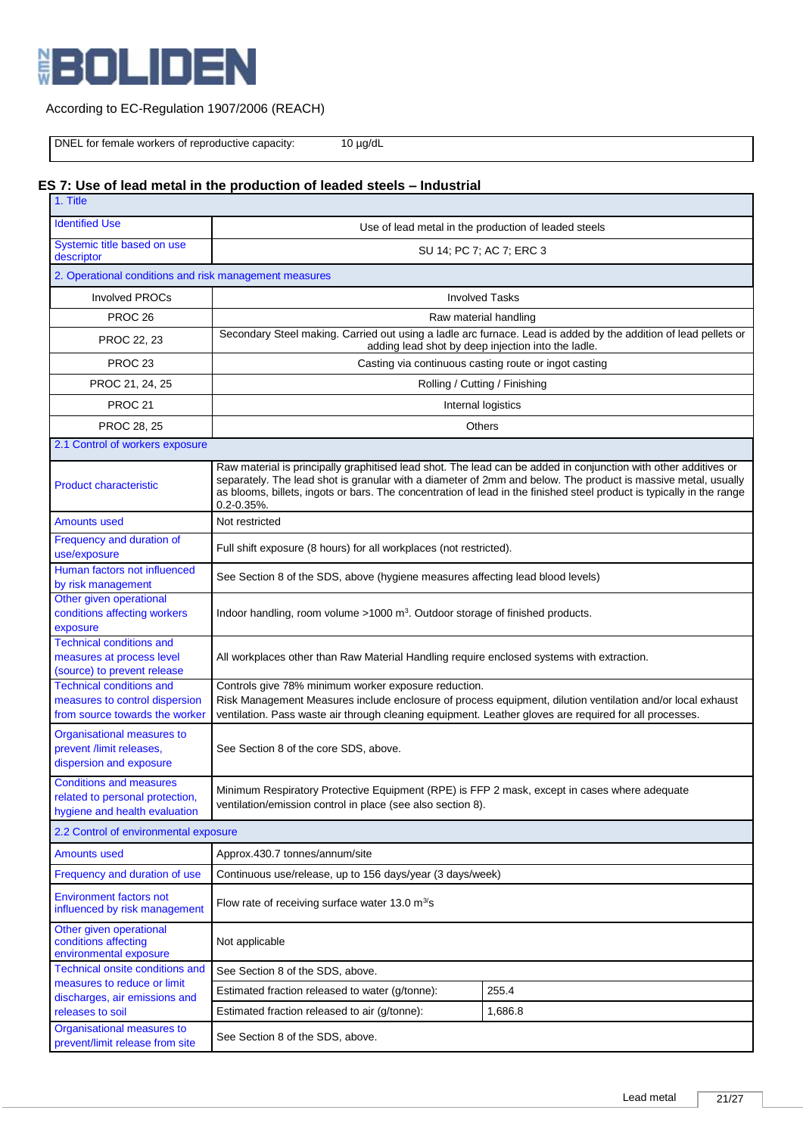

# According to EC-Regulation 1907/2006 (REACH)

DNEL for female workers of reproductive capacity: 10 µg/dL

# **ES 7: Use of lead metal in the production of leaded steels – Industrial**

| 1. Title                                                                                            |                                                                                                                                                                                                                                                                              |                                                                                                                                                                                                                                        |  |  |  |
|-----------------------------------------------------------------------------------------------------|------------------------------------------------------------------------------------------------------------------------------------------------------------------------------------------------------------------------------------------------------------------------------|----------------------------------------------------------------------------------------------------------------------------------------------------------------------------------------------------------------------------------------|--|--|--|
| <b>Identified Use</b>                                                                               | Use of lead metal in the production of leaded steels                                                                                                                                                                                                                         |                                                                                                                                                                                                                                        |  |  |  |
| Systemic title based on use<br>descriptor                                                           | SU 14; PC 7; AC 7; ERC 3                                                                                                                                                                                                                                                     |                                                                                                                                                                                                                                        |  |  |  |
|                                                                                                     | 2. Operational conditions and risk management measures                                                                                                                                                                                                                       |                                                                                                                                                                                                                                        |  |  |  |
| <b>Involved PROCs</b>                                                                               |                                                                                                                                                                                                                                                                              | <b>Involved Tasks</b>                                                                                                                                                                                                                  |  |  |  |
| PROC <sub>26</sub>                                                                                  | Raw material handling                                                                                                                                                                                                                                                        |                                                                                                                                                                                                                                        |  |  |  |
| PROC 22, 23                                                                                         | Secondary Steel making. Carried out using a ladle arc furnace. Lead is added by the addition of lead pellets or<br>adding lead shot by deep injection into the ladle.                                                                                                        |                                                                                                                                                                                                                                        |  |  |  |
| PROC <sub>23</sub>                                                                                  |                                                                                                                                                                                                                                                                              | Casting via continuous casting route or ingot casting                                                                                                                                                                                  |  |  |  |
| PROC 21, 24, 25                                                                                     |                                                                                                                                                                                                                                                                              | Rolling / Cutting / Finishing                                                                                                                                                                                                          |  |  |  |
| <b>PROC 21</b>                                                                                      |                                                                                                                                                                                                                                                                              | Internal logistics                                                                                                                                                                                                                     |  |  |  |
| PROC 28, 25                                                                                         |                                                                                                                                                                                                                                                                              | Others                                                                                                                                                                                                                                 |  |  |  |
| 2.1 Control of workers exposure                                                                     |                                                                                                                                                                                                                                                                              |                                                                                                                                                                                                                                        |  |  |  |
| <b>Product characteristic</b>                                                                       | Raw material is principally graphitised lead shot. The lead can be added in conjunction with other additives or<br>$0.2 - 0.35\%$ .                                                                                                                                          | separately. The lead shot is granular with a diameter of 2mm and below. The product is massive metal, usually<br>as blooms, billets, ingots or bars. The concentration of lead in the finished steel product is typically in the range |  |  |  |
| Amounts used                                                                                        | Not restricted                                                                                                                                                                                                                                                               |                                                                                                                                                                                                                                        |  |  |  |
| Frequency and duration of<br>use/exposure                                                           | Full shift exposure (8 hours) for all workplaces (not restricted).                                                                                                                                                                                                           |                                                                                                                                                                                                                                        |  |  |  |
| Human factors not influenced<br>by risk management                                                  | See Section 8 of the SDS, above (hygiene measures affecting lead blood levels)                                                                                                                                                                                               |                                                                                                                                                                                                                                        |  |  |  |
| Other given operational<br>conditions affecting workers<br>exposure                                 | Indoor handling, room volume >1000 m <sup>3</sup> . Outdoor storage of finished products.                                                                                                                                                                                    |                                                                                                                                                                                                                                        |  |  |  |
| <b>Technical conditions and</b><br>measures at process level<br>(source) to prevent release         | All workplaces other than Raw Material Handling require enclosed systems with extraction.                                                                                                                                                                                    |                                                                                                                                                                                                                                        |  |  |  |
| <b>Technical conditions and</b><br>measures to control dispersion<br>from source towards the worker | Controls give 78% minimum worker exposure reduction.<br>Risk Management Measures include enclosure of process equipment, dilution ventilation and/or local exhaust<br>ventilation. Pass waste air through cleaning equipment. Leather gloves are required for all processes. |                                                                                                                                                                                                                                        |  |  |  |
| Organisational measures to<br>prevent /limit releases,<br>dispersion and exposure                   | See Section 8 of the core SDS, above.                                                                                                                                                                                                                                        |                                                                                                                                                                                                                                        |  |  |  |
| <b>Conditions and measures</b><br>related to personal protection,<br>hygiene and health evaluation  | Minimum Respiratory Protective Equipment (RPE) is FFP 2 mask, except in cases where adequate<br>ventilation/emission control in place (see also section 8).                                                                                                                  |                                                                                                                                                                                                                                        |  |  |  |
| 2.2 Control of environmental exposure                                                               |                                                                                                                                                                                                                                                                              |                                                                                                                                                                                                                                        |  |  |  |
| <b>Amounts used</b>                                                                                 | Approx.430.7 tonnes/annum/site                                                                                                                                                                                                                                               |                                                                                                                                                                                                                                        |  |  |  |
| Frequency and duration of use                                                                       | Continuous use/release, up to 156 days/year (3 days/week)                                                                                                                                                                                                                    |                                                                                                                                                                                                                                        |  |  |  |
| <b>Environment factors not</b><br>influenced by risk management                                     | Flow rate of receiving surface water 13.0 $m^3$ 's                                                                                                                                                                                                                           |                                                                                                                                                                                                                                        |  |  |  |
| Other given operational<br>conditions affecting<br>environmental exposure                           | Not applicable                                                                                                                                                                                                                                                               |                                                                                                                                                                                                                                        |  |  |  |
| Technical onsite conditions and<br>measures to reduce or limit                                      | See Section 8 of the SDS, above.                                                                                                                                                                                                                                             |                                                                                                                                                                                                                                        |  |  |  |
| discharges, air emissions and                                                                       | Estimated fraction released to water (g/tonne):                                                                                                                                                                                                                              | 255.4                                                                                                                                                                                                                                  |  |  |  |
| releases to soil                                                                                    | Estimated fraction released to air (g/tonne):                                                                                                                                                                                                                                | 1,686.8                                                                                                                                                                                                                                |  |  |  |
| Organisational measures to<br>prevent/limit release from site                                       | See Section 8 of the SDS, above.                                                                                                                                                                                                                                             |                                                                                                                                                                                                                                        |  |  |  |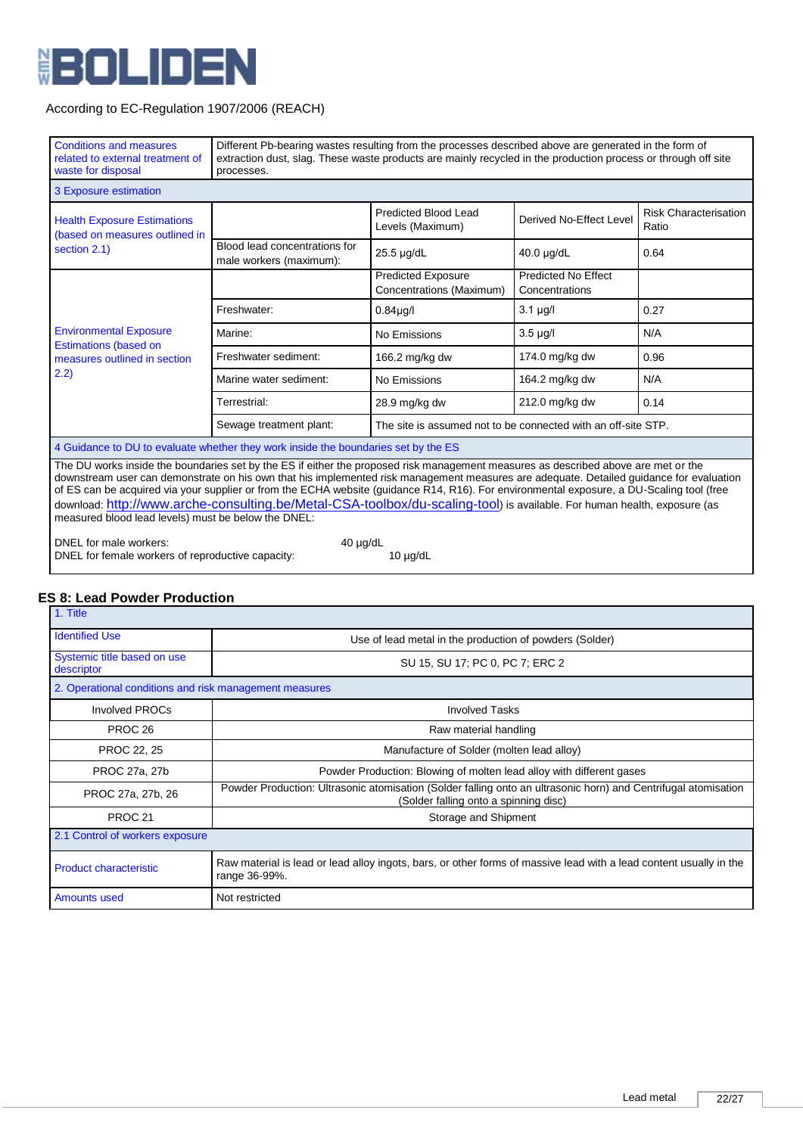

| <b>Conditions and measures</b><br>related to external treatment of<br>waste for disposal                                                                                                                                                                                                                                                                                                                                                                                                                                                                                                                      | Different Pb-bearing wastes resulting from the processes described above are generated in the form of<br>extraction dust, slag. These waste products are mainly recycled in the production process or through off site<br>processes. |                                                               |                                              |                                       |
|---------------------------------------------------------------------------------------------------------------------------------------------------------------------------------------------------------------------------------------------------------------------------------------------------------------------------------------------------------------------------------------------------------------------------------------------------------------------------------------------------------------------------------------------------------------------------------------------------------------|--------------------------------------------------------------------------------------------------------------------------------------------------------------------------------------------------------------------------------------|---------------------------------------------------------------|----------------------------------------------|---------------------------------------|
| 3 Exposure estimation                                                                                                                                                                                                                                                                                                                                                                                                                                                                                                                                                                                         |                                                                                                                                                                                                                                      |                                                               |                                              |                                       |
| <b>Health Exposure Estimations</b><br>(based on measures outlined in                                                                                                                                                                                                                                                                                                                                                                                                                                                                                                                                          |                                                                                                                                                                                                                                      | <b>Predicted Blood Lead</b><br>Levels (Maximum)               | Derived No-Effect Level                      | <b>Risk Characterisation</b><br>Ratio |
| section 2.1)                                                                                                                                                                                                                                                                                                                                                                                                                                                                                                                                                                                                  | Blood lead concentrations for<br>male workers (maximum):                                                                                                                                                                             | 25.5 µg/dL                                                    | 40.0 µg/dL                                   | 0.64                                  |
|                                                                                                                                                                                                                                                                                                                                                                                                                                                                                                                                                                                                               |                                                                                                                                                                                                                                      | <b>Predicted Exposure</b><br>Concentrations (Maximum)         | <b>Predicted No Effect</b><br>Concentrations |                                       |
|                                                                                                                                                                                                                                                                                                                                                                                                                                                                                                                                                                                                               | Freshwater:                                                                                                                                                                                                                          | 0.84 <sub>µq</sub>                                            | $3.1 \mu g/l$                                | 0.27                                  |
| <b>Environmental Exposure</b>                                                                                                                                                                                                                                                                                                                                                                                                                                                                                                                                                                                 | Marine:                                                                                                                                                                                                                              | No Emissions                                                  | $3.5 \mu g/l$                                | N/A                                   |
| <b>Estimations (based on</b><br>measures outlined in section                                                                                                                                                                                                                                                                                                                                                                                                                                                                                                                                                  | Freshwater sediment:                                                                                                                                                                                                                 | 166.2 mg/kg dw                                                | 174.0 mg/kg dw                               | 0.96                                  |
| (2.2)                                                                                                                                                                                                                                                                                                                                                                                                                                                                                                                                                                                                         | Marine water sediment:                                                                                                                                                                                                               | No Emissions                                                  | 164.2 mg/kg dw                               | N/A                                   |
|                                                                                                                                                                                                                                                                                                                                                                                                                                                                                                                                                                                                               | Terrestrial:                                                                                                                                                                                                                         | 28.9 mg/kg dw                                                 | 212.0 mg/kg dw                               | 0.14                                  |
|                                                                                                                                                                                                                                                                                                                                                                                                                                                                                                                                                                                                               | Sewage treatment plant:                                                                                                                                                                                                              | The site is assumed not to be connected with an off-site STP. |                                              |                                       |
| 4 Guidance to DU to evaluate whether they work inside the boundaries set by the ES                                                                                                                                                                                                                                                                                                                                                                                                                                                                                                                            |                                                                                                                                                                                                                                      |                                                               |                                              |                                       |
| The DU works inside the boundaries set by the ES if either the proposed risk management measures as described above are met or the<br>downstream user can demonstrate on his own that his implemented risk management measures are adequate. Detailed guidance for evaluation<br>of ES can be acquired via your supplier or from the ECHA website (guidance R14, R16). For environmental exposure, a DU-Scaling tool (free<br>download: http://www.arche-consulting.be/Metal-CSA-toolbox/du-scaling-tool) is available. For human health, exposure (as<br>measured blood lead levels) must be below the DNEL: |                                                                                                                                                                                                                                      |                                                               |                                              |                                       |
| DNEL for male workers:<br>$40 \mu g/dL$<br>DNEL for female workers of reproductive capacity:<br>$10 \mu g/dL$                                                                                                                                                                                                                                                                                                                                                                                                                                                                                                 |                                                                                                                                                                                                                                      |                                                               |                                              |                                       |

# **ES 8: Lead Powder Production**

| 1. Title                                               |                                                                                                                                                         |
|--------------------------------------------------------|---------------------------------------------------------------------------------------------------------------------------------------------------------|
| <b>Identified Use</b>                                  | Use of lead metal in the production of powders (Solder)                                                                                                 |
| Systemic title based on use<br>descriptor              | SU 15, SU 17; PC 0, PC 7; ERC 2                                                                                                                         |
| 2. Operational conditions and risk management measures |                                                                                                                                                         |
| <b>Involved PROCs</b>                                  | <b>Involved Tasks</b>                                                                                                                                   |
| PROC <sub>26</sub>                                     | Raw material handling                                                                                                                                   |
| PROC 22, 25                                            | Manufacture of Solder (molten lead alloy)                                                                                                               |
| PROC 27a, 27b                                          | Powder Production: Blowing of molten lead alloy with different gases                                                                                    |
| PROC 27a, 27b, 26                                      | Powder Production: Ultrasonic atomisation (Solder falling onto an ultrasonic horn) and Centrifugal atomisation<br>(Solder falling onto a spinning disc) |
| PROC <sub>21</sub>                                     | Storage and Shipment                                                                                                                                    |
| 2.1 Control of workers exposure                        |                                                                                                                                                         |
| <b>Product characteristic</b>                          | Raw material is lead or lead alloy ingots, bars, or other forms of massive lead with a lead content usually in the<br>range 36-99%.                     |
| Amounts used                                           | Not restricted                                                                                                                                          |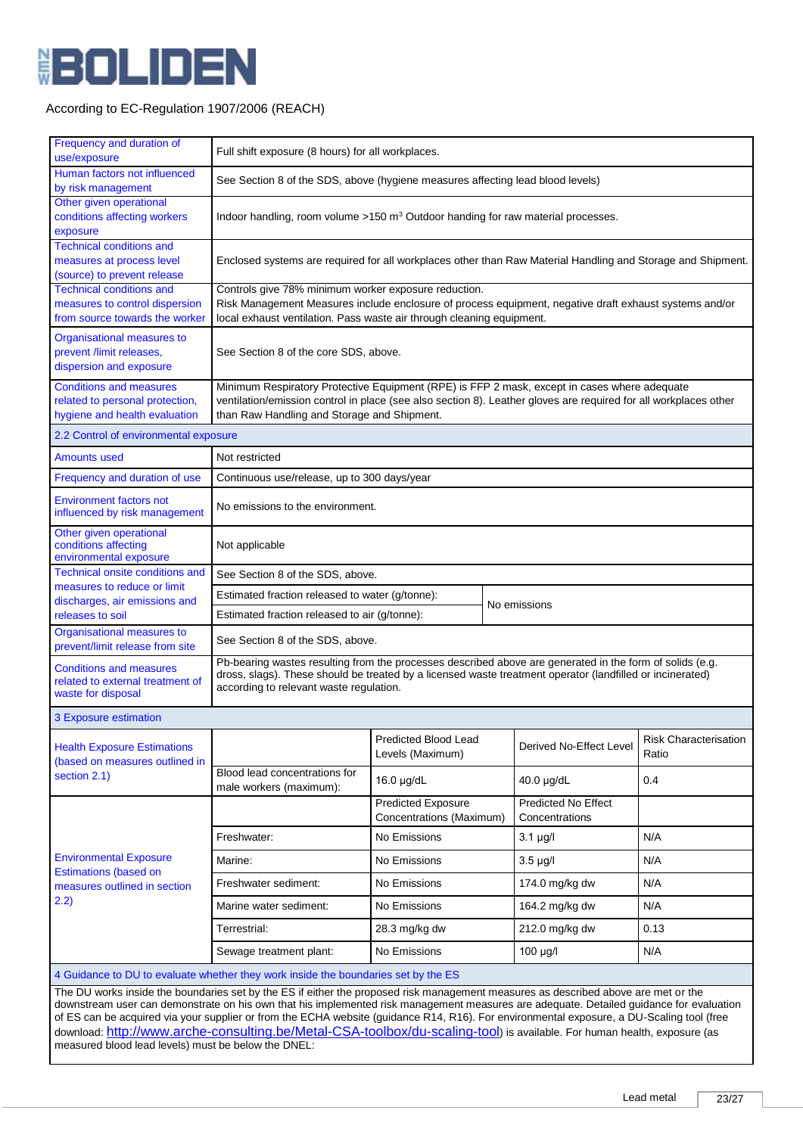

| Frequency and duration of<br>use/exposure                                                                                                                                                                                                                                                                                                                                                                                                                                                                                                              | Full shift exposure (8 hours) for all workplaces.                                                                                                                                                                                                                |                                                                                                                                                                                                                                         |                                              |                                       |
|--------------------------------------------------------------------------------------------------------------------------------------------------------------------------------------------------------------------------------------------------------------------------------------------------------------------------------------------------------------------------------------------------------------------------------------------------------------------------------------------------------------------------------------------------------|------------------------------------------------------------------------------------------------------------------------------------------------------------------------------------------------------------------------------------------------------------------|-----------------------------------------------------------------------------------------------------------------------------------------------------------------------------------------------------------------------------------------|----------------------------------------------|---------------------------------------|
| Human factors not influenced<br>by risk management                                                                                                                                                                                                                                                                                                                                                                                                                                                                                                     | See Section 8 of the SDS, above (hygiene measures affecting lead blood levels)                                                                                                                                                                                   |                                                                                                                                                                                                                                         |                                              |                                       |
| Other given operational<br>conditions affecting workers<br>exposure                                                                                                                                                                                                                                                                                                                                                                                                                                                                                    | Indoor handling, room volume >150 m <sup>3</sup> Outdoor handing for raw material processes.                                                                                                                                                                     |                                                                                                                                                                                                                                         |                                              |                                       |
| <b>Technical conditions and</b><br>measures at process level<br>(source) to prevent release                                                                                                                                                                                                                                                                                                                                                                                                                                                            | Enclosed systems are required for all workplaces other than Raw Material Handling and Storage and Shipment.                                                                                                                                                      |                                                                                                                                                                                                                                         |                                              |                                       |
| <b>Technical conditions and</b><br>measures to control dispersion<br>from source towards the worker                                                                                                                                                                                                                                                                                                                                                                                                                                                    |                                                                                                                                                                                                                                                                  | Controls give 78% minimum worker exposure reduction.<br>Risk Management Measures include enclosure of process equipment, negative draft exhaust systems and/or<br>local exhaust ventilation. Pass waste air through cleaning equipment. |                                              |                                       |
| Organisational measures to<br>prevent /limit releases,<br>dispersion and exposure                                                                                                                                                                                                                                                                                                                                                                                                                                                                      | See Section 8 of the core SDS, above.                                                                                                                                                                                                                            |                                                                                                                                                                                                                                         |                                              |                                       |
| <b>Conditions and measures</b><br>related to personal protection,<br>hygiene and health evaluation                                                                                                                                                                                                                                                                                                                                                                                                                                                     | Minimum Respiratory Protective Equipment (RPE) is FFP 2 mask, except in cases where adequate<br>ventilation/emission control in place (see also section 8). Leather gloves are required for all workplaces other<br>than Raw Handling and Storage and Shipment.  |                                                                                                                                                                                                                                         |                                              |                                       |
| 2.2 Control of environmental exposure                                                                                                                                                                                                                                                                                                                                                                                                                                                                                                                  |                                                                                                                                                                                                                                                                  |                                                                                                                                                                                                                                         |                                              |                                       |
| <b>Amounts used</b>                                                                                                                                                                                                                                                                                                                                                                                                                                                                                                                                    | Not restricted                                                                                                                                                                                                                                                   |                                                                                                                                                                                                                                         |                                              |                                       |
| Frequency and duration of use                                                                                                                                                                                                                                                                                                                                                                                                                                                                                                                          | Continuous use/release, up to 300 days/year                                                                                                                                                                                                                      |                                                                                                                                                                                                                                         |                                              |                                       |
| <b>Environment factors not</b><br>influenced by risk management                                                                                                                                                                                                                                                                                                                                                                                                                                                                                        | No emissions to the environment.                                                                                                                                                                                                                                 |                                                                                                                                                                                                                                         |                                              |                                       |
| Other given operational<br>conditions affecting<br>environmental exposure                                                                                                                                                                                                                                                                                                                                                                                                                                                                              | Not applicable                                                                                                                                                                                                                                                   |                                                                                                                                                                                                                                         |                                              |                                       |
| <b>Technical onsite conditions and</b>                                                                                                                                                                                                                                                                                                                                                                                                                                                                                                                 | See Section 8 of the SDS, above.                                                                                                                                                                                                                                 |                                                                                                                                                                                                                                         |                                              |                                       |
| measures to reduce or limit<br>discharges, air emissions and                                                                                                                                                                                                                                                                                                                                                                                                                                                                                           | Estimated fraction released to water (g/tonne):                                                                                                                                                                                                                  |                                                                                                                                                                                                                                         |                                              |                                       |
| releases to soil                                                                                                                                                                                                                                                                                                                                                                                                                                                                                                                                       | No emissions<br>Estimated fraction released to air (g/tonne):                                                                                                                                                                                                    |                                                                                                                                                                                                                                         |                                              |                                       |
| Organisational measures to<br>prevent/limit release from site                                                                                                                                                                                                                                                                                                                                                                                                                                                                                          | See Section 8 of the SDS, above.                                                                                                                                                                                                                                 |                                                                                                                                                                                                                                         |                                              |                                       |
| <b>Conditions and measures</b><br>related to external treatment of<br>waste for disposal                                                                                                                                                                                                                                                                                                                                                                                                                                                               | Pb-bearing wastes resulting from the processes described above are generated in the form of solids (e.g.<br>dross, slags). These should be treated by a licensed waste treatment operator (landfilled or incinerated)<br>according to relevant waste regulation. |                                                                                                                                                                                                                                         |                                              |                                       |
| 3 Exposure estimation                                                                                                                                                                                                                                                                                                                                                                                                                                                                                                                                  |                                                                                                                                                                                                                                                                  |                                                                                                                                                                                                                                         |                                              |                                       |
| <b>Health Exposure Estimations</b><br>(based on measures outlined in                                                                                                                                                                                                                                                                                                                                                                                                                                                                                   |                                                                                                                                                                                                                                                                  | Predicted Blood Lead<br>Levels (Maximum)                                                                                                                                                                                                | Derived No-Effect Level                      | <b>Risk Characterisation</b><br>Ratio |
| section 2.1)                                                                                                                                                                                                                                                                                                                                                                                                                                                                                                                                           | Blood lead concentrations for<br>male workers (maximum):                                                                                                                                                                                                         | 16.0 µg/dL                                                                                                                                                                                                                              | 40.0 µg/dL                                   | 0.4                                   |
|                                                                                                                                                                                                                                                                                                                                                                                                                                                                                                                                                        |                                                                                                                                                                                                                                                                  | <b>Predicted Exposure</b><br>Concentrations (Maximum)                                                                                                                                                                                   | <b>Predicted No Effect</b><br>Concentrations |                                       |
|                                                                                                                                                                                                                                                                                                                                                                                                                                                                                                                                                        | Freshwater:                                                                                                                                                                                                                                                      | No Emissions                                                                                                                                                                                                                            | $3.1 \mu g/l$                                | N/A                                   |
| <b>Environmental Exposure</b>                                                                                                                                                                                                                                                                                                                                                                                                                                                                                                                          | Marine:                                                                                                                                                                                                                                                          | No Emissions                                                                                                                                                                                                                            | $3.5 \mu g/l$                                | N/A                                   |
| <b>Estimations (based on</b><br>measures outlined in section                                                                                                                                                                                                                                                                                                                                                                                                                                                                                           | Freshwater sediment:                                                                                                                                                                                                                                             | No Emissions                                                                                                                                                                                                                            | 174.0 mg/kg dw                               | N/A                                   |
| (2.2)                                                                                                                                                                                                                                                                                                                                                                                                                                                                                                                                                  | Marine water sediment:                                                                                                                                                                                                                                           | No Emissions                                                                                                                                                                                                                            | 164.2 mg/kg dw                               | N/A                                   |
|                                                                                                                                                                                                                                                                                                                                                                                                                                                                                                                                                        | Terrestrial:                                                                                                                                                                                                                                                     | 28.3 mg/kg dw                                                                                                                                                                                                                           | 212.0 mg/kg dw                               | 0.13                                  |
|                                                                                                                                                                                                                                                                                                                                                                                                                                                                                                                                                        | Sewage treatment plant:                                                                                                                                                                                                                                          | No Emissions                                                                                                                                                                                                                            | $100 \mu g/l$                                | N/A                                   |
|                                                                                                                                                                                                                                                                                                                                                                                                                                                                                                                                                        | 4 Guidance to DU to evaluate whether they work inside the boundaries set by the ES                                                                                                                                                                               |                                                                                                                                                                                                                                         |                                              |                                       |
| The DU works inside the boundaries set by the ES if either the proposed risk management measures as described above are met or the<br>downstream user can demonstrate on his own that his implemented risk management measures are adequate. Detailed guidance for evaluation<br>of ES can be acquired via your supplier or from the ECHA website (guidance R14, R16). For environmental exposure, a DU-Scaling tool (free<br>download: http://www.arche-consulting.be/Metal-CSA-toolbox/du-scaling-tool) is available. For human health, exposure (as |                                                                                                                                                                                                                                                                  |                                                                                                                                                                                                                                         |                                              |                                       |

measured blood lead levels) must be below the DNEL: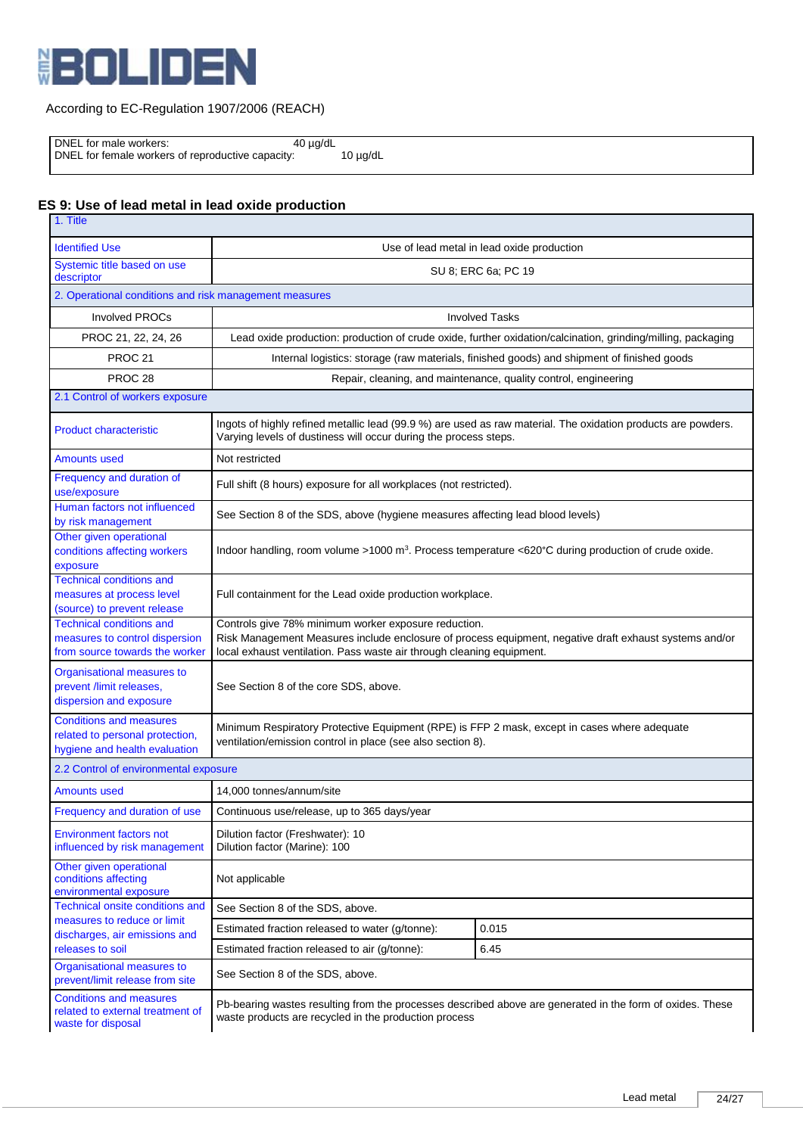

DNEL for male workers: 40 µg/dL

DNEL for female workers of reproductive capacity: 10 µg/dL

# **ES 9: Use of lead metal in lead oxide production**

| 1. Title                                                                                            |                                                                                                                                                                                                                                         |  |  |
|-----------------------------------------------------------------------------------------------------|-----------------------------------------------------------------------------------------------------------------------------------------------------------------------------------------------------------------------------------------|--|--|
| <b>Identified Use</b>                                                                               | Use of lead metal in lead oxide production                                                                                                                                                                                              |  |  |
| Systemic title based on use<br>descriptor                                                           | SU 8; ERC 6a; PC 19                                                                                                                                                                                                                     |  |  |
| 2. Operational conditions and risk management measures                                              |                                                                                                                                                                                                                                         |  |  |
| <b>Involved PROCs</b>                                                                               | <b>Involved Tasks</b>                                                                                                                                                                                                                   |  |  |
| PROC 21, 22, 24, 26                                                                                 | Lead oxide production: production of crude oxide, further oxidation/calcination, grinding/milling, packaging                                                                                                                            |  |  |
| <b>PROC 21</b>                                                                                      | Internal logistics: storage (raw materials, finished goods) and shipment of finished goods                                                                                                                                              |  |  |
| PROC <sub>28</sub>                                                                                  | Repair, cleaning, and maintenance, quality control, engineering                                                                                                                                                                         |  |  |
| 2.1 Control of workers exposure                                                                     |                                                                                                                                                                                                                                         |  |  |
| <b>Product characteristic</b>                                                                       | Ingots of highly refined metallic lead (99.9 %) are used as raw material. The oxidation products are powders.<br>Varying levels of dustiness will occur during the process steps.                                                       |  |  |
| <b>Amounts used</b>                                                                                 | Not restricted                                                                                                                                                                                                                          |  |  |
| Frequency and duration of<br>use/exposure                                                           | Full shift (8 hours) exposure for all workplaces (not restricted).                                                                                                                                                                      |  |  |
| Human factors not influenced<br>by risk management                                                  | See Section 8 of the SDS, above (hygiene measures affecting lead blood levels)                                                                                                                                                          |  |  |
| Other given operational<br>conditions affecting workers<br>exposure                                 | Indoor handling, room volume >1000 m <sup>3</sup> . Process temperature <620°C during production of crude oxide.                                                                                                                        |  |  |
| <b>Technical conditions and</b><br>measures at process level<br>(source) to prevent release         | Full containment for the Lead oxide production workplace.                                                                                                                                                                               |  |  |
| <b>Technical conditions and</b><br>measures to control dispersion<br>from source towards the worker | Controls give 78% minimum worker exposure reduction.<br>Risk Management Measures include enclosure of process equipment, negative draft exhaust systems and/or<br>local exhaust ventilation. Pass waste air through cleaning equipment. |  |  |
| Organisational measures to<br>prevent /limit releases,<br>dispersion and exposure                   | See Section 8 of the core SDS, above.                                                                                                                                                                                                   |  |  |
| <b>Conditions and measures</b><br>related to personal protection,<br>hygiene and health evaluation  | Minimum Respiratory Protective Equipment (RPE) is FFP 2 mask, except in cases where adequate<br>ventilation/emission control in place (see also section 8).                                                                             |  |  |
| 2.2 Control of environmental exposure                                                               |                                                                                                                                                                                                                                         |  |  |
| <b>Amounts used</b>                                                                                 | 14,000 tonnes/annum/site                                                                                                                                                                                                                |  |  |
| Frequency and duration of use                                                                       | Continuous use/release, up to 365 days/year                                                                                                                                                                                             |  |  |
| <b>Environment factors not</b><br>influenced by risk management                                     | Dilution factor (Freshwater): 10<br>Dilution factor (Marine): 100                                                                                                                                                                       |  |  |
| Other given operational<br>conditions affecting<br>environmental exposure                           | Not applicable                                                                                                                                                                                                                          |  |  |
| <b>Technical onsite conditions and</b>                                                              | See Section 8 of the SDS, above.                                                                                                                                                                                                        |  |  |
| measures to reduce or limit<br>discharges, air emissions and                                        | Estimated fraction released to water (g/tonne):<br>0.015                                                                                                                                                                                |  |  |
| releases to soil                                                                                    | Estimated fraction released to air (g/tonne):<br>6.45                                                                                                                                                                                   |  |  |
| Organisational measures to<br>prevent/limit release from site                                       | See Section 8 of the SDS, above.                                                                                                                                                                                                        |  |  |
| <b>Conditions and measures</b><br>related to external treatment of<br>waste for disposal            | Pb-bearing wastes resulting from the processes described above are generated in the form of oxides. These<br>waste products are recycled in the production process                                                                      |  |  |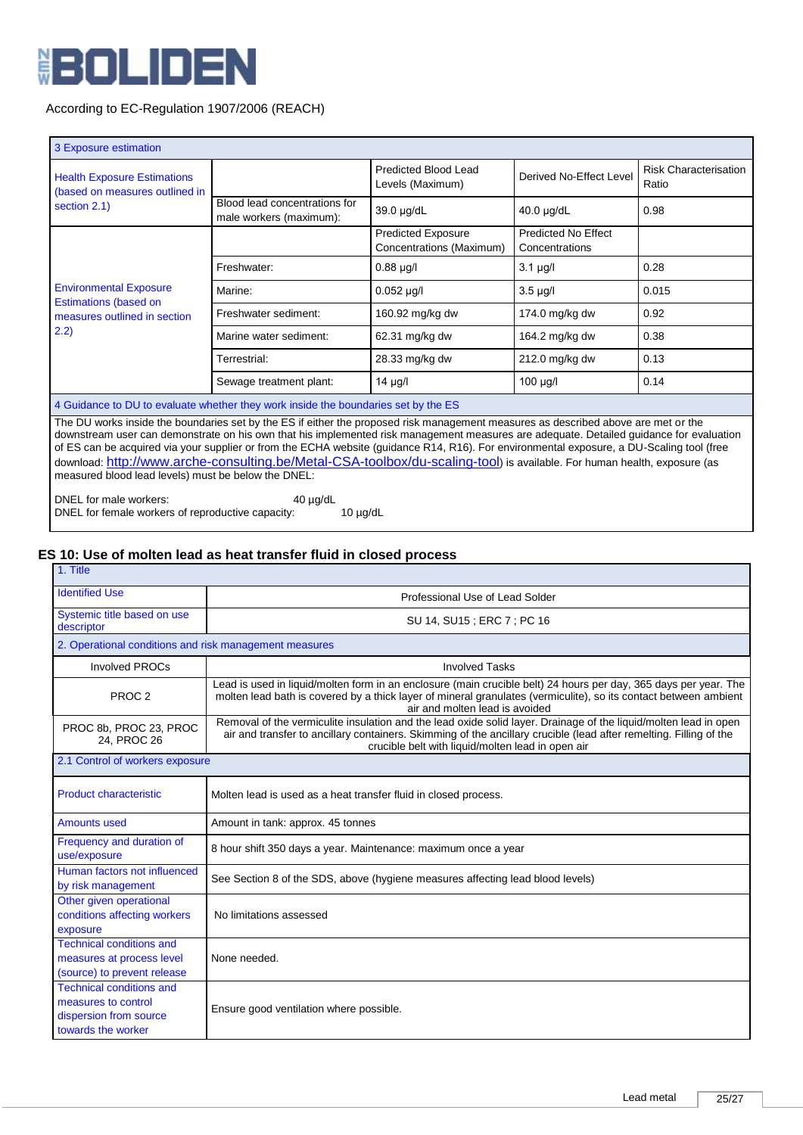

| 3 Exposure estimation                                                                                                                                                                                                                                                                                                                                                                                                                                                                                                                                                                                         |                                                          |                                                       |                                              |                                       |
|---------------------------------------------------------------------------------------------------------------------------------------------------------------------------------------------------------------------------------------------------------------------------------------------------------------------------------------------------------------------------------------------------------------------------------------------------------------------------------------------------------------------------------------------------------------------------------------------------------------|----------------------------------------------------------|-------------------------------------------------------|----------------------------------------------|---------------------------------------|
| <b>Health Exposure Estimations</b><br>(based on measures outlined in<br>section 2.1)                                                                                                                                                                                                                                                                                                                                                                                                                                                                                                                          |                                                          | Predicted Blood Lead<br>Levels (Maximum)              | Derived No-Effect Level                      | <b>Risk Characterisation</b><br>Ratio |
|                                                                                                                                                                                                                                                                                                                                                                                                                                                                                                                                                                                                               | Blood lead concentrations for<br>male workers (maximum): | 39.0 µg/dL                                            | $40.0 \mu g/dL$                              | 0.98                                  |
|                                                                                                                                                                                                                                                                                                                                                                                                                                                                                                                                                                                                               |                                                          | <b>Predicted Exposure</b><br>Concentrations (Maximum) | <b>Predicted No Effect</b><br>Concentrations |                                       |
|                                                                                                                                                                                                                                                                                                                                                                                                                                                                                                                                                                                                               | Freshwater:                                              | $0.88 \mu g/l$                                        | $3.1 \mu g/l$                                | 0.28                                  |
| <b>Environmental Exposure</b><br><b>Estimations (based on</b>                                                                                                                                                                                                                                                                                                                                                                                                                                                                                                                                                 | Marine:                                                  | $0.052 \mu g/l$                                       | $3.5 \mu g/l$                                | 0.015                                 |
| measures outlined in section                                                                                                                                                                                                                                                                                                                                                                                                                                                                                                                                                                                  | Freshwater sediment:                                     | 160.92 mg/kg dw                                       | 174.0 mg/kg dw                               | 0.92                                  |
| 2.2)                                                                                                                                                                                                                                                                                                                                                                                                                                                                                                                                                                                                          | Marine water sediment:                                   | 62.31 mg/kg dw                                        | 164.2 mg/kg dw                               | 0.38                                  |
|                                                                                                                                                                                                                                                                                                                                                                                                                                                                                                                                                                                                               | Terrestrial:                                             | 28.33 mg/kg dw                                        | 212.0 mg/kg dw                               | 0.13                                  |
|                                                                                                                                                                                                                                                                                                                                                                                                                                                                                                                                                                                                               | Sewage treatment plant:                                  | $14 \mu g/l$                                          | 100 µg/l                                     | 0.14                                  |
| 4 Guidance to DU to evaluate whether they work inside the boundaries set by the ES                                                                                                                                                                                                                                                                                                                                                                                                                                                                                                                            |                                                          |                                                       |                                              |                                       |
| The DU works inside the boundaries set by the ES if either the proposed risk management measures as described above are met or the<br>downstream user can demonstrate on his own that his implemented risk management measures are adequate. Detailed guidance for evaluation<br>of ES can be acquired via your supplier or from the ECHA website (guidance R14, R16). For environmental exposure, a DU-Scaling tool (free<br>download: http://www.arche-consulting.be/Metal-CSA-toolbox/du-scaling-tool) is available. For human health, exposure (as<br>measured blood lead levels) must be below the DNEL: |                                                          |                                                       |                                              |                                       |

DNEL for male workers: 40 µg/dL DNEL for female workers of reproductive capacity: 10 µg/dL

# **ES 10: Use of molten lead as heat transfer fluid in closed process**

| 1. Title                                                                                               |                                                                                                                                                                                                                                                                                             |  |  |
|--------------------------------------------------------------------------------------------------------|---------------------------------------------------------------------------------------------------------------------------------------------------------------------------------------------------------------------------------------------------------------------------------------------|--|--|
| <b>Identified Use</b>                                                                                  | Professional Use of Lead Solder                                                                                                                                                                                                                                                             |  |  |
| Systemic title based on use<br>descriptor                                                              | SU 14, SU15; ERC 7; PC 16                                                                                                                                                                                                                                                                   |  |  |
| 2. Operational conditions and risk management measures                                                 |                                                                                                                                                                                                                                                                                             |  |  |
| <b>Involved PROCs</b>                                                                                  | <b>Involved Tasks</b>                                                                                                                                                                                                                                                                       |  |  |
| PROC <sub>2</sub>                                                                                      | Lead is used in liquid/molten form in an enclosure (main crucible belt) 24 hours per day, 365 days per year. The<br>molten lead bath is covered by a thick layer of mineral granulates (vermiculite), so its contact between ambient<br>air and molten lead is avoided                      |  |  |
| PROC 8b, PROC 23, PROC<br>24. PROC 26                                                                  | Removal of the vermiculite insulation and the lead oxide solid layer. Drainage of the liquid/molten lead in open<br>air and transfer to ancillary containers. Skimming of the ancillary crucible (lead after remelting. Filling of the<br>crucible belt with liquid/molten lead in open air |  |  |
| 2.1 Control of workers exposure                                                                        |                                                                                                                                                                                                                                                                                             |  |  |
| <b>Product characteristic</b>                                                                          | Molten lead is used as a heat transfer fluid in closed process.                                                                                                                                                                                                                             |  |  |
| <b>Amounts used</b>                                                                                    | Amount in tank: approx. 45 tonnes                                                                                                                                                                                                                                                           |  |  |
| Frequency and duration of<br>use/exposure                                                              | 8 hour shift 350 days a year. Maintenance: maximum once a year                                                                                                                                                                                                                              |  |  |
| Human factors not influenced<br>by risk management                                                     | See Section 8 of the SDS, above (hygiene measures affecting lead blood levels)                                                                                                                                                                                                              |  |  |
| Other given operational<br>conditions affecting workers<br>exposure                                    | No limitations assessed                                                                                                                                                                                                                                                                     |  |  |
| <b>Technical conditions and</b><br>measures at process level<br>(source) to prevent release            | None needed.                                                                                                                                                                                                                                                                                |  |  |
| <b>Technical conditions and</b><br>measures to control<br>dispersion from source<br>towards the worker | Ensure good ventilation where possible.                                                                                                                                                                                                                                                     |  |  |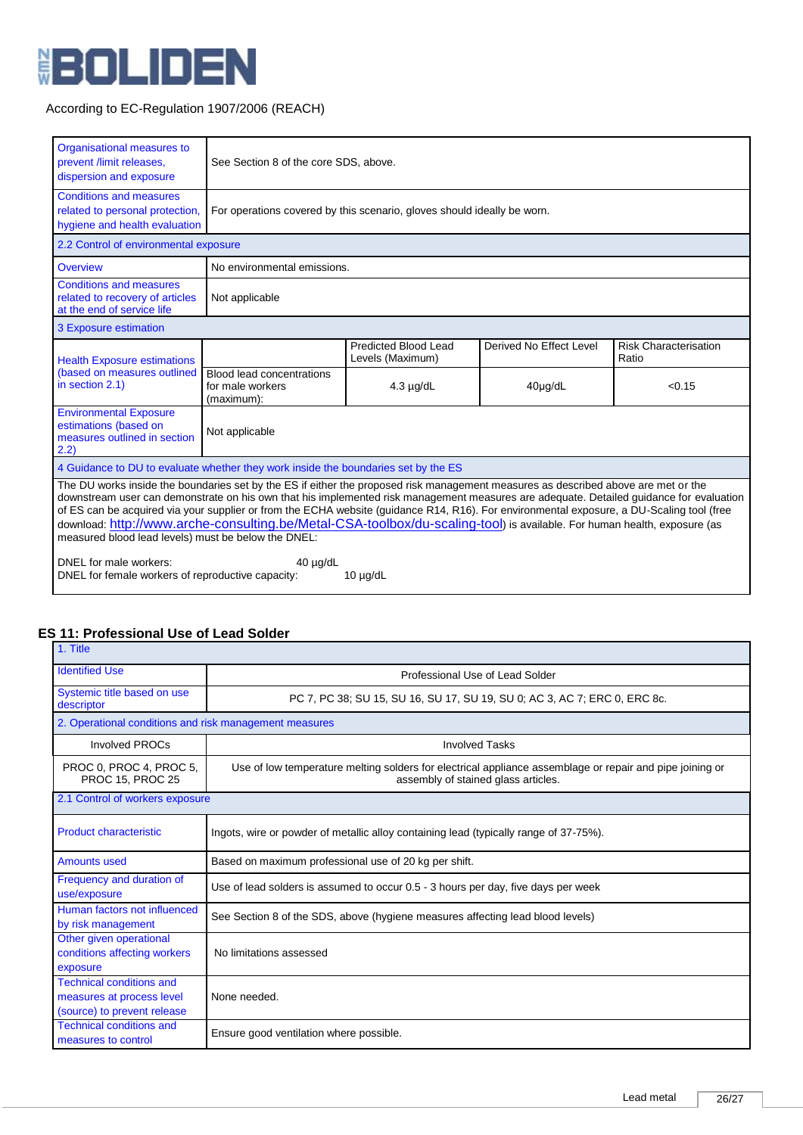

| Organisational measures to<br>prevent /limit releases,<br>dispersion and exposure                                                                                                                                                                                                                                                                                                                                                                                                                                                                                                                                                                                                                                              | See Section 8 of the core SDS, above.                       |                                                                         |                         |                                       |  |
|--------------------------------------------------------------------------------------------------------------------------------------------------------------------------------------------------------------------------------------------------------------------------------------------------------------------------------------------------------------------------------------------------------------------------------------------------------------------------------------------------------------------------------------------------------------------------------------------------------------------------------------------------------------------------------------------------------------------------------|-------------------------------------------------------------|-------------------------------------------------------------------------|-------------------------|---------------------------------------|--|
| <b>Conditions and measures</b><br>related to personal protection,<br>hygiene and health evaluation                                                                                                                                                                                                                                                                                                                                                                                                                                                                                                                                                                                                                             |                                                             | For operations covered by this scenario, gloves should ideally be worn. |                         |                                       |  |
| 2.2 Control of environmental exposure                                                                                                                                                                                                                                                                                                                                                                                                                                                                                                                                                                                                                                                                                          |                                                             |                                                                         |                         |                                       |  |
| Overview                                                                                                                                                                                                                                                                                                                                                                                                                                                                                                                                                                                                                                                                                                                       | No environmental emissions.                                 |                                                                         |                         |                                       |  |
| <b>Conditions and measures</b><br>related to recovery of articles<br>at the end of service life                                                                                                                                                                                                                                                                                                                                                                                                                                                                                                                                                                                                                                | Not applicable                                              |                                                                         |                         |                                       |  |
| 3 Exposure estimation                                                                                                                                                                                                                                                                                                                                                                                                                                                                                                                                                                                                                                                                                                          |                                                             |                                                                         |                         |                                       |  |
| <b>Health Exposure estimations</b>                                                                                                                                                                                                                                                                                                                                                                                                                                                                                                                                                                                                                                                                                             |                                                             | Predicted Blood Lead<br>Levels (Maximum)                                | Derived No Effect Level | <b>Risk Characterisation</b><br>Ratio |  |
| (based on measures outlined<br>in section 2.1)                                                                                                                                                                                                                                                                                                                                                                                                                                                                                                                                                                                                                                                                                 | Blood lead concentrations<br>for male workers<br>(maximum): | $4.3 \mu g/dL$                                                          | $40\mu$ g/dL            | < 0.15                                |  |
| <b>Environmental Exposure</b><br>estimations (based on<br>measures outlined in section<br>(2.2)                                                                                                                                                                                                                                                                                                                                                                                                                                                                                                                                                                                                                                | Not applicable                                              |                                                                         |                         |                                       |  |
| 4 Guidance to DU to evaluate whether they work inside the boundaries set by the ES                                                                                                                                                                                                                                                                                                                                                                                                                                                                                                                                                                                                                                             |                                                             |                                                                         |                         |                                       |  |
| The DU works inside the boundaries set by the ES if either the proposed risk management measures as described above are met or the<br>downstream user can demonstrate on his own that his implemented risk management measures are adequate. Detailed guidance for evaluation<br>of ES can be acquired via your supplier or from the ECHA website (guidance R14, R16). For environmental exposure, a DU-Scaling tool (free<br>download: http://www.arche-consulting.be/Metal-CSA-toolbox/du-scaling-tool) is available. For human health, exposure (as<br>measured blood lead levels) must be below the DNEL:<br>DNEL for male workers:<br>$40 \mu q/dL$<br>DNEL for female workers of reproductive capacity:<br>$10 \mu g/dL$ |                                                             |                                                                         |                         |                                       |  |

#### **ES 11: Professional Use of Lead Solder** 1. Title

| .                                                                   |                                                                                                                                                 |  |  |  |  |
|---------------------------------------------------------------------|-------------------------------------------------------------------------------------------------------------------------------------------------|--|--|--|--|
| <b>Identified Use</b>                                               | Professional Use of Lead Solder                                                                                                                 |  |  |  |  |
| Systemic title based on use<br>descriptor                           | PC 7, PC 38; SU 15, SU 16, SU 17, SU 19, SU 0; AC 3, AC 7; ERC 0, ERC 8c.                                                                       |  |  |  |  |
| 2. Operational conditions and risk management measures              |                                                                                                                                                 |  |  |  |  |
| <b>Involved PROCs</b>                                               | <b>Involved Tasks</b>                                                                                                                           |  |  |  |  |
| PROC 0, PROC 4, PROC 5,<br><b>PROC 15, PROC 25</b>                  | Use of low temperature melting solders for electrical appliance assemblage or repair and pipe joining or<br>assembly of stained glass articles. |  |  |  |  |
| 2.1 Control of workers exposure                                     |                                                                                                                                                 |  |  |  |  |
| <b>Product characteristic</b>                                       | Ingots, wire or powder of metallic alloy containing lead (typically range of 37-75%).                                                           |  |  |  |  |
| <b>Amounts used</b>                                                 | Based on maximum professional use of 20 kg per shift.                                                                                           |  |  |  |  |
| Frequency and duration of<br>use/exposure                           | Use of lead solders is assumed to occur 0.5 - 3 hours per day, five days per week                                                               |  |  |  |  |
| Human factors not influenced<br>by risk management                  | See Section 8 of the SDS, above (hygiene measures affecting lead blood levels)                                                                  |  |  |  |  |
| Other given operational<br>conditions affecting workers<br>exposure | No limitations assessed                                                                                                                         |  |  |  |  |
| <b>Technical conditions and</b>                                     |                                                                                                                                                 |  |  |  |  |
| measures at process level<br>(source) to prevent release            | None needed.                                                                                                                                    |  |  |  |  |
| <b>Technical conditions and</b><br>measures to control              | Ensure good ventilation where possible.                                                                                                         |  |  |  |  |